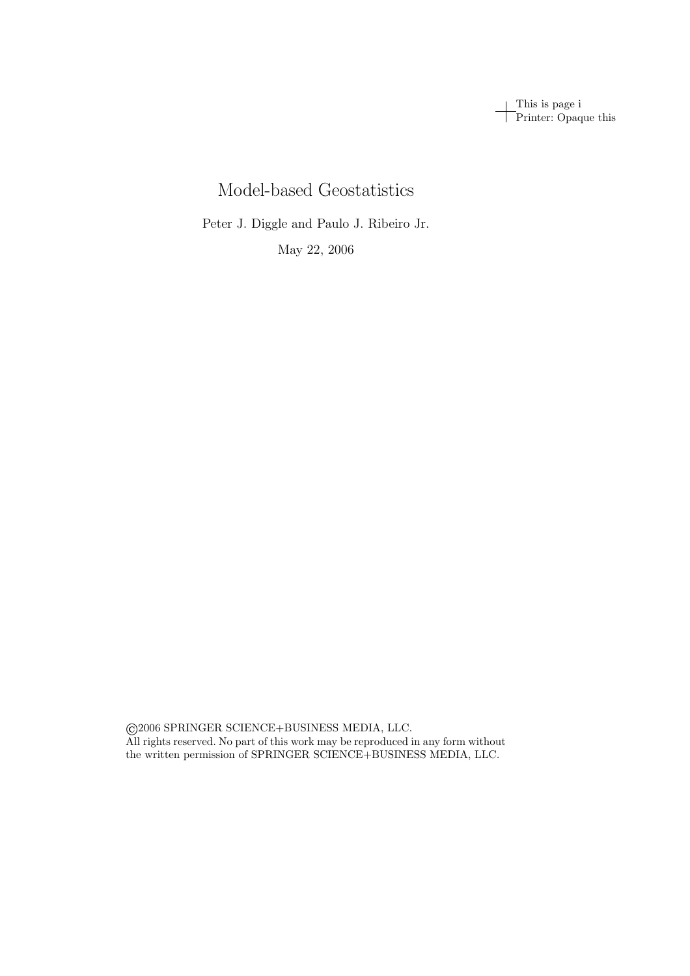This is page i Printer: Opaque this

# Model-based Geostatistics

Peter J. Diggle and Paulo J. Ribeiro Jr.

May 22, 2006

 2006 SPRINGER SCIENCE+BUSINESS MEDIA, LLC. All rights reserved. No part of this work may be reproduced in any form without the written permission of SPRINGER SCIENCE+BUSINESS MEDIA, LLC.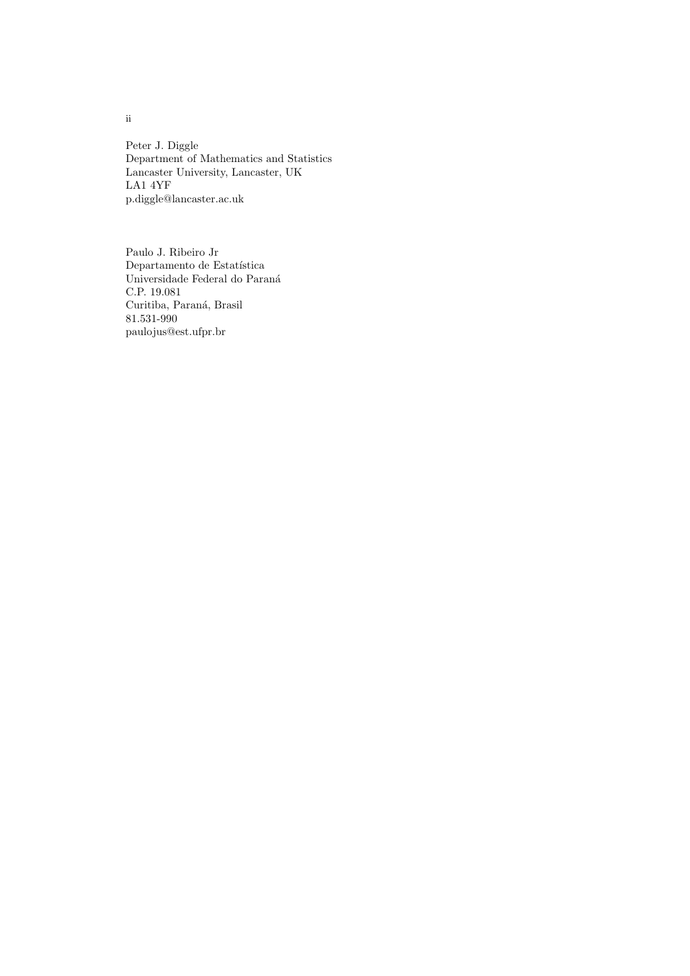Peter J. Diggle Department of Mathematics and Statistics Lancaster University, Lancaster, UK LA1 4YF p.diggle@lancaster.ac.uk

Paulo J. Ribeiro Jr  $\rm Department of~d$ Estatística Universidade Federal do Paraná C.P. 19.081 Curitiba, Paraná, Brasil 81.531-990 paulojus@est.ufpr.br

ii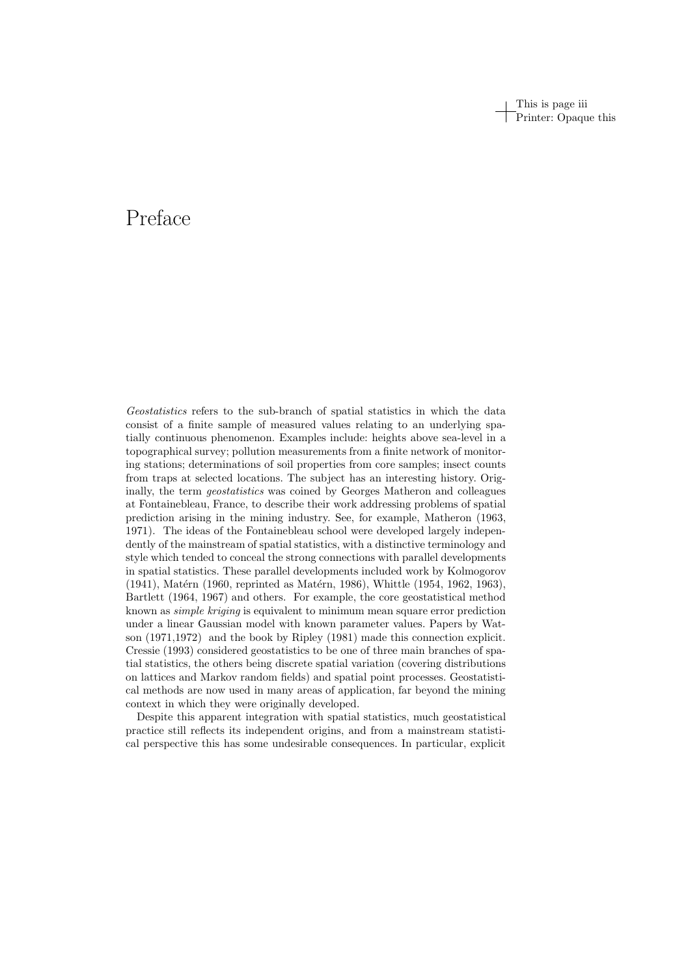This is page iii Printer: Opaque this

# Preface

Geostatistics refers to the sub-branch of spatial statistics in which the data consist of a finite sample of measured values relating to an underlying spatially continuous phenomenon. Examples include: heights above sea-level in a topographical survey; pollution measurements from a finite network of monitoring stations; determinations of soil properties from core samples; insect counts from traps at selected locations. The subject has an interesting history. Originally, the term *geostatistics* was coined by Georges Matheron and colleagues at Fontainebleau, France, to describe their work addressing problems of spatial prediction arising in the mining industry. See, for example, Matheron (1963, 1971). The ideas of the Fontainebleau school were developed largely independently of the mainstream of spatial statistics, with a distinctive terminology and style which tended to conceal the strong connections with parallel developments in spatial statistics. These parallel developments included work by Kolmogorov  $(1941)$ , Matérn  $(1960,$  reprinted as Matérn, 1986), Whittle  $(1954, 1962, 1963)$ , Bartlett (1964, 1967) and others. For example, the core geostatistical method known as simple kriging is equivalent to minimum mean square error prediction under a linear Gaussian model with known parameter values. Papers by Watson (1971,1972) and the book by Ripley (1981) made this connection explicit. Cressie (1993) considered geostatistics to be one of three main branches of spatial statistics, the others being discrete spatial variation (covering distributions on lattices and Markov random fields) and spatial point processes. Geostatistical methods are now used in many areas of application, far beyond the mining context in which they were originally developed.

Despite this apparent integration with spatial statistics, much geostatistical practice still reflects its independent origins, and from a mainstream statistical perspective this has some undesirable consequences. In particular, explicit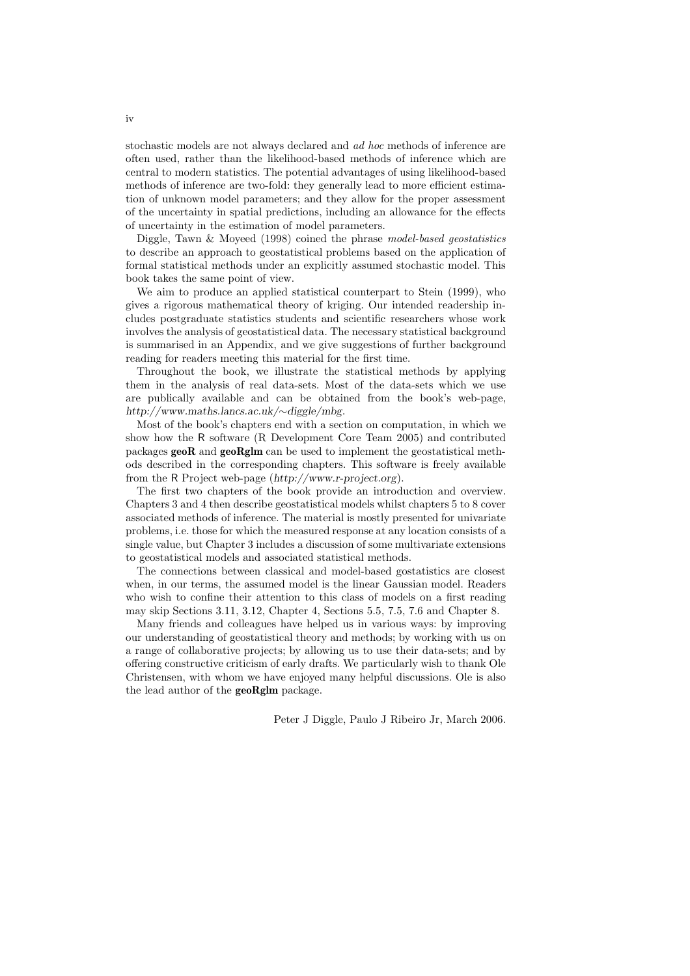stochastic models are not always declared and ad hoc methods of inference are often used, rather than the likelihood-based methods of inference which are central to modern statistics. The potential advantages of using likelihood-based methods of inference are two-fold: they generally lead to more efficient estimation of unknown model parameters; and they allow for the proper assessment of the uncertainty in spatial predictions, including an allowance for the effects of uncertainty in the estimation of model parameters.

Diggle, Tawn & Moyeed (1998) coined the phrase model-based geostatistics to describe an approach to geostatistical problems based on the application of formal statistical methods under an explicitly assumed stochastic model. This book takes the same point of view.

We aim to produce an applied statistical counterpart to Stein (1999), who gives a rigorous mathematical theory of kriging. Our intended readership includes postgraduate statistics students and scientific researchers whose work involves the analysis of geostatistical data. The necessary statistical background is summarised in an Appendix, and we give suggestions of further background reading for readers meeting this material for the first time.

Throughout the book, we illustrate the statistical methods by applying them in the analysis of real data-sets. Most of the data-sets which we use are publically available and can be obtained from the book's web-page, http://www.maths.lancs.ac.uk/∼diggle/mbg.

Most of the book's chapters end with a section on computation, in which we show how the R software (R Development Core Team 2005) and contributed packages  $\mathbf{geoR}$  and  $\mathbf{geoRglm}$  can be used to implement the geostatistical methods described in the corresponding chapters. This software is freely available from the R Project web-page (http://www.r-project.org).

The first two chapters of the book provide an introduction and overview. Chapters 3 and 4 then describe geostatistical models whilst chapters 5 to 8 cover associated methods of inference. The material is mostly presented for univariate problems, i.e. those for which the measured response at any location consists of a single value, but Chapter 3 includes a discussion of some multivariate extensions to geostatistical models and associated statistical methods.

The connections between classical and model-based gostatistics are closest when, in our terms, the assumed model is the linear Gaussian model. Readers who wish to confine their attention to this class of models on a first reading may skip Sections 3.11, 3.12, Chapter 4, Sections 5.5, 7.5, 7.6 and Chapter 8.

Many friends and colleagues have helped us in various ways: by improving our understanding of geostatistical theory and methods; by working with us on a range of collaborative projects; by allowing us to use their data-sets; and by offering constructive criticism of early drafts. We particularly wish to thank Ole Christensen, with whom we have enjoyed many helpful discussions. Ole is also the lead author of the geoRglm package.

Peter J Diggle, Paulo J Ribeiro Jr, March 2006.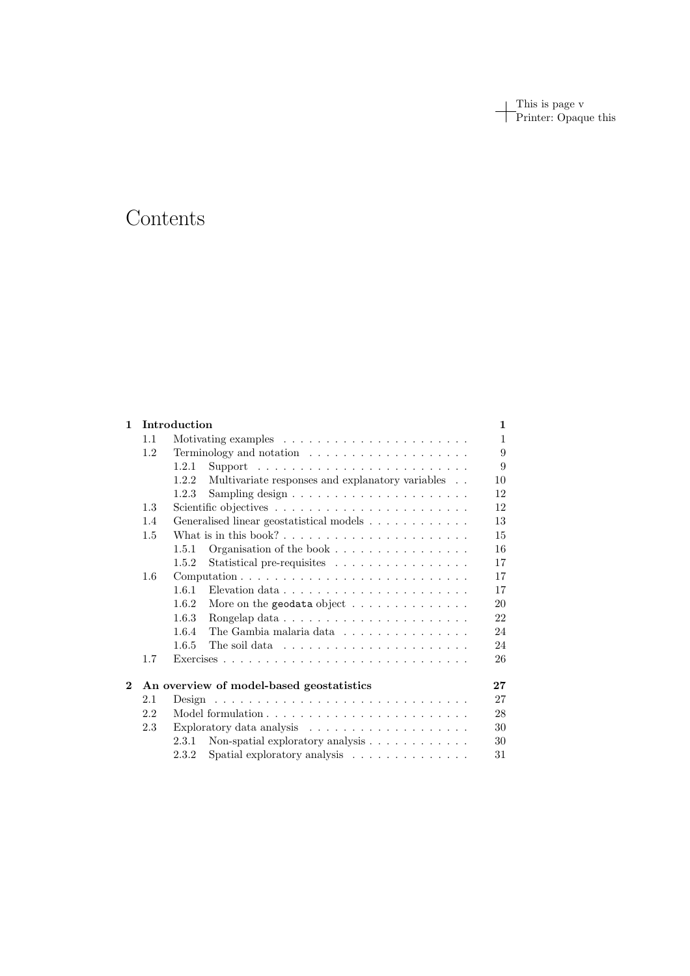This is page v Printer: Opaque this

# Contents

| $\mathbf{1}$ | Introduction                             |                                                                            |    |  |
|--------------|------------------------------------------|----------------------------------------------------------------------------|----|--|
|              | 1.1                                      |                                                                            |    |  |
|              | 1.2                                      | Terminology and notation $\ldots \ldots \ldots \ldots \ldots \ldots$       | 9  |  |
|              |                                          | 1.2.1<br>Support $\ldots \ldots \ldots \ldots \ldots \ldots \ldots \ldots$ | 9  |  |
|              |                                          | Multivariate responses and explanatory variables<br>1.2.2                  | 10 |  |
|              |                                          | 1.2.3                                                                      | 12 |  |
|              | 1.3                                      |                                                                            | 12 |  |
|              | 1.4                                      | Generalised linear geostatistical models                                   | 13 |  |
|              | 1.5                                      |                                                                            |    |  |
|              |                                          | Organisation of the book $\dots \dots \dots \dots \dots \dots$<br>1.5.1    | 16 |  |
|              |                                          | Statistical pre-requisites<br>1.5.2                                        | 17 |  |
|              | 1.6                                      |                                                                            |    |  |
|              |                                          | 1.6.1                                                                      | 17 |  |
|              |                                          | 1.6.2<br>More on the geodata object $\dots \dots \dots \dots \dots$        | 20 |  |
|              |                                          | 1.6.3                                                                      | 22 |  |
|              |                                          | 1.6.4<br>The Gambia malaria data                                           | 24 |  |
|              |                                          | 1.6.5<br>The soil data $\ldots \ldots \ldots \ldots \ldots \ldots \ldots$  | 24 |  |
|              | 1.7                                      |                                                                            | 26 |  |
| $\mathbf{2}$ | An overview of model-based geostatistics |                                                                            |    |  |
|              | 2.1                                      |                                                                            | 27 |  |
|              | 2.2                                      |                                                                            | 28 |  |
|              | 2.3                                      |                                                                            | 30 |  |
|              |                                          | Non-spatial exploratory analysis $\ldots \ldots \ldots \ldots$<br>2.3.1    | 30 |  |
|              |                                          | Spatial exploratory analysis<br>2.3.2                                      | 31 |  |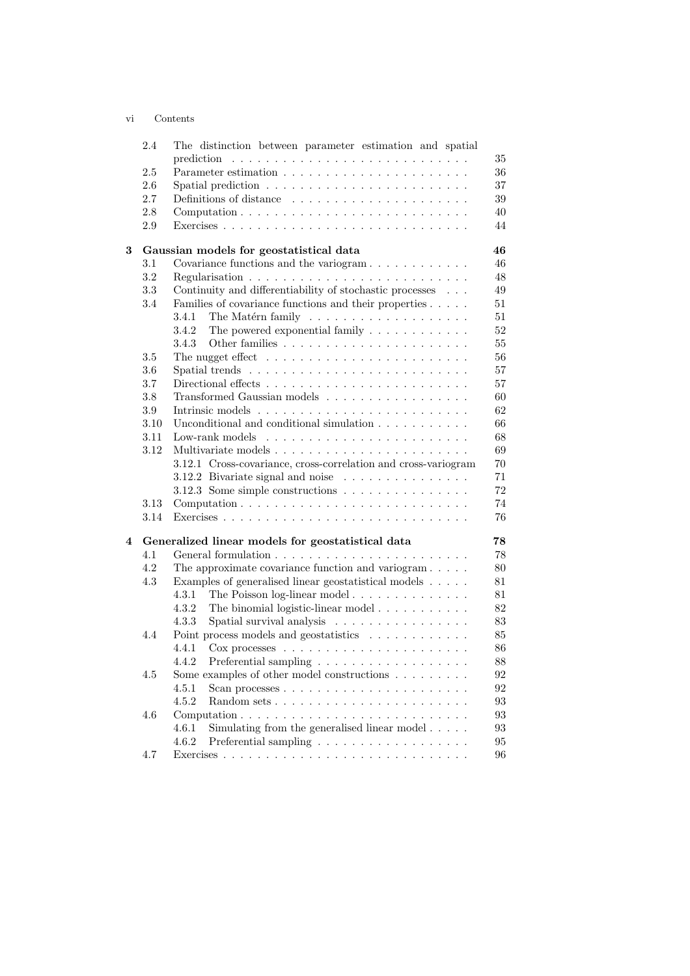### vi Contents

|   | 2.4        | The distinction between parameter estimation and spatial                                                                                                                                                                                                                                                                                                                                                                                                                          |
|---|------------|-----------------------------------------------------------------------------------------------------------------------------------------------------------------------------------------------------------------------------------------------------------------------------------------------------------------------------------------------------------------------------------------------------------------------------------------------------------------------------------|
|   |            | 35<br>prediction<br>$\mathcal{L}_{\mathcal{A}}(\mathcal{A},\mathcal{A},\mathcal{A},\mathcal{A},\mathcal{A},\mathcal{A},\mathcal{A},\mathcal{A},\mathcal{A},\mathcal{A},\mathcal{A},\mathcal{A},\mathcal{A},\mathcal{A},\mathcal{A},\mathcal{A},\mathcal{A},\mathcal{A},\mathcal{A},\mathcal{A},\mathcal{A},\mathcal{A},\mathcal{A},\mathcal{A},\mathcal{A},\mathcal{A},\mathcal{A},\mathcal{A},\mathcal{A},\mathcal{A},\mathcal{A},\mathcal{A},\mathcal{A},\mathcal{A},\mathcal{$ |
|   | 2.5        | 36                                                                                                                                                                                                                                                                                                                                                                                                                                                                                |
|   | 2.6<br>2.7 | Spatial prediction $\ldots \ldots \ldots \ldots \ldots \ldots \ldots$<br>37<br>39                                                                                                                                                                                                                                                                                                                                                                                                 |
|   |            | Definitions of distance                                                                                                                                                                                                                                                                                                                                                                                                                                                           |
|   | 2.8        | 40                                                                                                                                                                                                                                                                                                                                                                                                                                                                                |
|   | 2.9        | 44                                                                                                                                                                                                                                                                                                                                                                                                                                                                                |
| 3 |            | 46<br>Gaussian models for geostatistical data                                                                                                                                                                                                                                                                                                                                                                                                                                     |
|   | 3.1        | 46                                                                                                                                                                                                                                                                                                                                                                                                                                                                                |
|   | 3.2        | 48                                                                                                                                                                                                                                                                                                                                                                                                                                                                                |
|   | 3.3        | Continuity and differentiability of stochastic processes $\phantom{1} \ldots$<br>49                                                                                                                                                                                                                                                                                                                                                                                               |
|   | 3.4        | 51<br>Families of covariance functions and their properties                                                                                                                                                                                                                                                                                                                                                                                                                       |
|   |            | The Matérn family $\dots \dots \dots \dots \dots \dots \dots$<br>51<br>3.4.1                                                                                                                                                                                                                                                                                                                                                                                                      |
|   |            | The powered exponential family $.\,.\,.\,.\,.\,.\,.\,.\,.\,.\,.\,.\,.\,.\,$<br>52<br>3.4.2                                                                                                                                                                                                                                                                                                                                                                                        |
|   |            | 55<br>3.4.3                                                                                                                                                                                                                                                                                                                                                                                                                                                                       |
|   | $3.5\,$    | The nugget effect $\dots \dots \dots \dots \dots \dots \dots \dots$<br>56                                                                                                                                                                                                                                                                                                                                                                                                         |
|   | 3.6        | 57                                                                                                                                                                                                                                                                                                                                                                                                                                                                                |
|   | 3.7        | 57                                                                                                                                                                                                                                                                                                                                                                                                                                                                                |
|   | 3.8        | Transformed Gaussian models $\ldots \ldots \ldots \ldots \ldots$<br>60                                                                                                                                                                                                                                                                                                                                                                                                            |
|   | 3.9        | 62                                                                                                                                                                                                                                                                                                                                                                                                                                                                                |
|   | 3.10       | 66<br>Unconditional and conditional simulation $\ldots \ldots \ldots \ldots$                                                                                                                                                                                                                                                                                                                                                                                                      |
|   | 3.11       | 68                                                                                                                                                                                                                                                                                                                                                                                                                                                                                |
|   | 3.12       | 69                                                                                                                                                                                                                                                                                                                                                                                                                                                                                |
|   |            | 3.12.1 Cross-covariance, cross-correlation and cross-variogram<br>70                                                                                                                                                                                                                                                                                                                                                                                                              |
|   |            | 3.12.2 Bivariate signal and noise $\ldots \ldots \ldots \ldots$<br>71                                                                                                                                                                                                                                                                                                                                                                                                             |
|   |            | 72<br>3.12.3 Some simple constructions                                                                                                                                                                                                                                                                                                                                                                                                                                            |
|   | 3.13       | 74                                                                                                                                                                                                                                                                                                                                                                                                                                                                                |
|   | 3.14       | 76                                                                                                                                                                                                                                                                                                                                                                                                                                                                                |
| 4 |            | Generalized linear models for geostatistical data<br>78                                                                                                                                                                                                                                                                                                                                                                                                                           |
|   | 4.1        | 78                                                                                                                                                                                                                                                                                                                                                                                                                                                                                |
|   | 4.2        | The approximate covariance function and variogram $\ldots$ .<br>80                                                                                                                                                                                                                                                                                                                                                                                                                |
|   | 4.3        | Examples of generalised linear geostatistical models<br>81                                                                                                                                                                                                                                                                                                                                                                                                                        |
|   |            | The Poisson log-linear model<br>4.3.1<br>81                                                                                                                                                                                                                                                                                                                                                                                                                                       |
|   |            | The binomial logistic-linear model<br>82<br>4.3.2                                                                                                                                                                                                                                                                                                                                                                                                                                 |
|   |            | 4.3.3<br>Spatial survival analysis<br>83                                                                                                                                                                                                                                                                                                                                                                                                                                          |
|   | 4.4        | Point process models and geostatistics<br>85                                                                                                                                                                                                                                                                                                                                                                                                                                      |
|   |            | 86<br>4.4.1                                                                                                                                                                                                                                                                                                                                                                                                                                                                       |
|   |            | 4.4.2<br>88                                                                                                                                                                                                                                                                                                                                                                                                                                                                       |
|   | 4.5        | Some examples of other model constructions $\ldots \ldots \ldots$<br>92                                                                                                                                                                                                                                                                                                                                                                                                           |
|   |            | 4.5.1<br>92                                                                                                                                                                                                                                                                                                                                                                                                                                                                       |
|   |            | 4.5.2<br>93                                                                                                                                                                                                                                                                                                                                                                                                                                                                       |
|   | 4.6        | 93<br>Computation $\ldots \ldots \ldots \ldots \ldots \ldots \ldots \ldots \ldots$                                                                                                                                                                                                                                                                                                                                                                                                |
|   |            | Simulating from the generalised linear model<br>4.6.1<br>93                                                                                                                                                                                                                                                                                                                                                                                                                       |
|   |            | 4.6.2<br>95                                                                                                                                                                                                                                                                                                                                                                                                                                                                       |
|   | 4.7        | 96                                                                                                                                                                                                                                                                                                                                                                                                                                                                                |
|   |            |                                                                                                                                                                                                                                                                                                                                                                                                                                                                                   |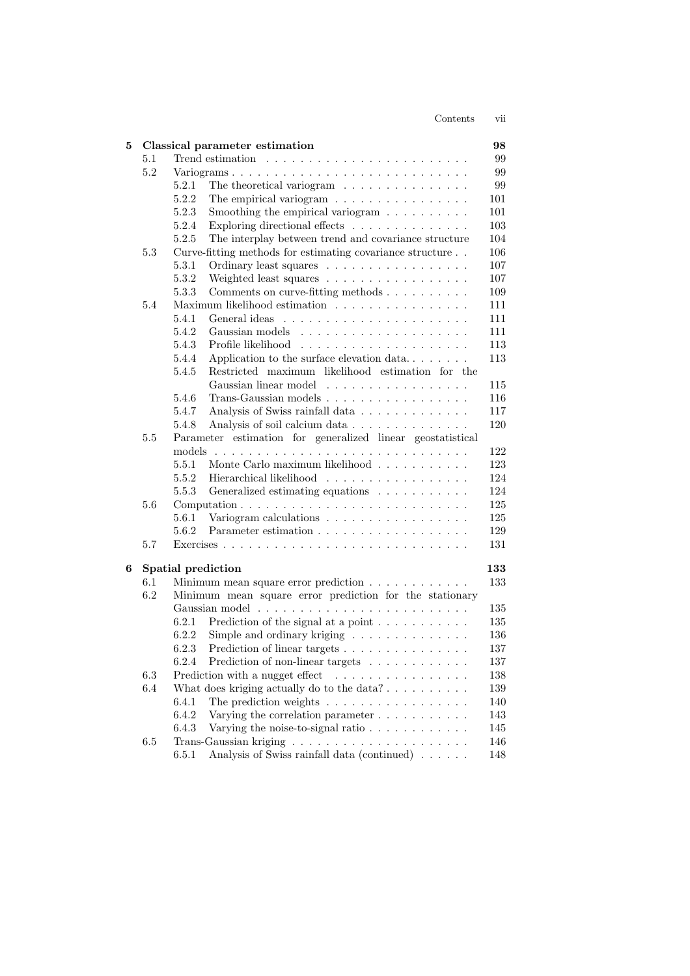| Contents | V11 |
|----------|-----|
|          |     |

| 5 |                                                                   |                    | Classical parameter estimation                                                                    | 98      |  |  |
|---|-------------------------------------------------------------------|--------------------|---------------------------------------------------------------------------------------------------|---------|--|--|
|   | 5.1                                                               |                    |                                                                                                   | 99      |  |  |
|   | 5.2                                                               |                    | Variograms                                                                                        | 99      |  |  |
|   |                                                                   | 5.2.1              | The theoretical variogram                                                                         | 99      |  |  |
|   |                                                                   | 5.2.2              | The empirical variogram $\ldots \ldots \ldots \ldots \ldots$                                      | 101     |  |  |
|   |                                                                   | 5.2.3              | Smoothing the empirical variogram $\ldots \ldots \ldots$                                          | 101     |  |  |
|   |                                                                   | 5.2.4              | Exploring directional effects                                                                     | 103     |  |  |
|   |                                                                   | 5.2.5              | The interplay between trend and covariance structure                                              | 104     |  |  |
|   | 5.3                                                               |                    | Curve-fitting methods for estimating covariance structure                                         | 106     |  |  |
|   |                                                                   | 5.3.1              | Ordinary least squares                                                                            | 107     |  |  |
|   |                                                                   | 5.3.2              | Weighted least squares                                                                            | 107     |  |  |
|   |                                                                   | 5.3.3              | Comments on curve-fitting methods                                                                 | 109     |  |  |
|   | 5.4                                                               |                    | Maximum likelihood estimation                                                                     | 111     |  |  |
|   |                                                                   | 5.4.1              |                                                                                                   | 111     |  |  |
|   |                                                                   | 5.4.2              | Gaussian models $\ldots$ , $\ldots$ , $\ldots$ , $\ldots$                                         | 111     |  |  |
|   |                                                                   | 5.4.3              |                                                                                                   | 113     |  |  |
|   |                                                                   | 5.4.4              | Application to the surface elevation data                                                         | 113     |  |  |
|   |                                                                   | 5.4.5              | Restricted maximum likelihood estimation for the                                                  |         |  |  |
|   |                                                                   |                    | Gaussian linear model                                                                             | 115     |  |  |
|   |                                                                   | 5.4.6              | Trans-Gaussian models                                                                             | 116     |  |  |
|   |                                                                   | 5.4.7              | Analysis of Swiss rainfall data                                                                   | 117     |  |  |
|   |                                                                   | 5.4.8              | Analysis of soil calcium data                                                                     | 120     |  |  |
|   | Parameter estimation for generalized linear geostatistical<br>5.5 |                    |                                                                                                   |         |  |  |
|   |                                                                   |                    |                                                                                                   | 122     |  |  |
|   |                                                                   | 5.5.1              | Monte Carlo maximum likelihood                                                                    | 123     |  |  |
|   |                                                                   | 5.5.2              | Hierarchical likelihood                                                                           | 124     |  |  |
|   |                                                                   | 5.5.3              | Generalized estimating equations                                                                  | 124     |  |  |
|   | 5.6                                                               |                    | Computation $\ldots \ldots \ldots \ldots \ldots \ldots \ldots \ldots \ldots$                      | 125     |  |  |
|   |                                                                   | 5.6.1              | Variogram calculations                                                                            | 125     |  |  |
|   |                                                                   | 5.6.2              |                                                                                                   | 129     |  |  |
|   | 5.7                                                               |                    |                                                                                                   | 131     |  |  |
| 6 |                                                                   | Spatial prediction |                                                                                                   | 133     |  |  |
|   | 6.1                                                               |                    | Minimum mean square error prediction                                                              | 133     |  |  |
|   | 6.2                                                               |                    | Minimum mean square error prediction for the stationary                                           |         |  |  |
|   |                                                                   |                    |                                                                                                   | 135     |  |  |
|   |                                                                   | 6.2.1              | Prediction of the signal at a point $\dots \dots \dots$                                           | 135     |  |  |
|   |                                                                   | 6.2.2              | Simple and ordinary kriging                                                                       | 136     |  |  |
|   |                                                                   | 6.2.3              | Prediction of linear targets                                                                      | 137     |  |  |
|   |                                                                   | 6.2.4              | Prediction of non-linear targets                                                                  | 137     |  |  |
|   | $6.3\,$                                                           |                    | Prediction with a nugget effect<br>$\alpha$ , and a second contract of the second second $\alpha$ | 138     |  |  |
|   | 6.4                                                               |                    | What does kriging actually do to the data? $\dots \dots \dots$                                    | 139     |  |  |
|   |                                                                   | 6.4.1              | The prediction weights $\dots \dots \dots \dots \dots \dots$                                      | 140     |  |  |
|   |                                                                   | 6.4.2              | Varying the correlation parameter $\dots \dots \dots$                                             | 143     |  |  |
|   |                                                                   | 6.4.3              | Varying the noise-to-signal ratio $\ldots \ldots \ldots \ldots$                                   | 145     |  |  |
|   | 6.5                                                               |                    |                                                                                                   | 146     |  |  |
|   |                                                                   | 6.5.1              | Analysis of Swiss rainfall data (continued)                                                       | $148\,$ |  |  |
|   |                                                                   |                    |                                                                                                   |         |  |  |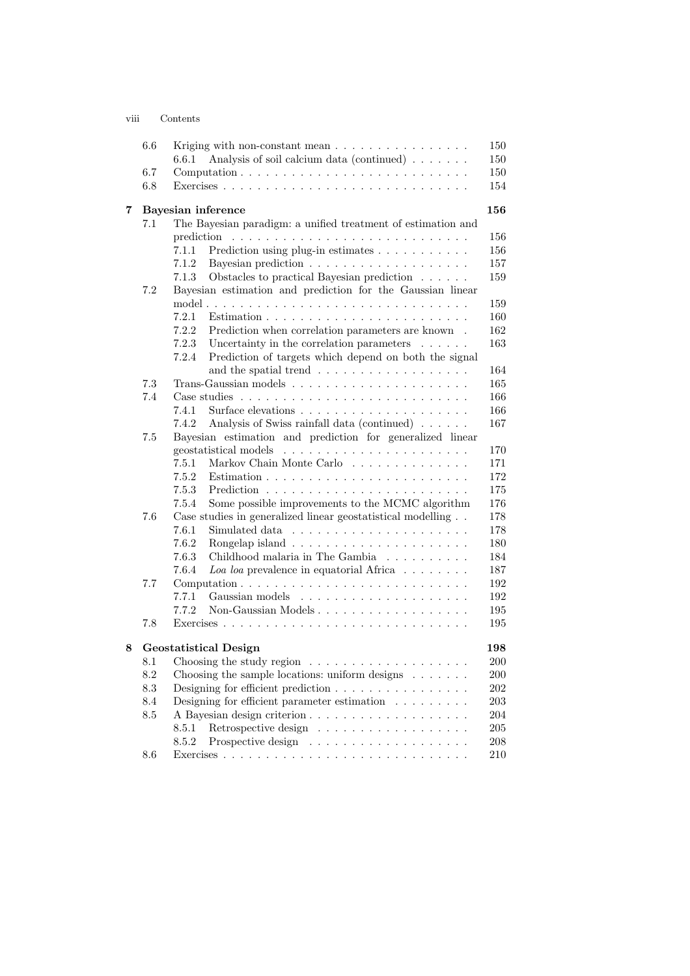| V111 | Contents |
|------|----------|
|      |          |

|   | 6.6             | Kriging with non-constant mean                                               | 150            |  |
|---|-----------------|------------------------------------------------------------------------------|----------------|--|
|   |                 | Analysis of soil calcium data (continued) $\ldots \ldots$<br>6.6.1           | 150            |  |
|   | 6.7             |                                                                              | 150            |  |
|   | 6.8             |                                                                              | 154            |  |
| 7 |                 | <b>Bayesian</b> inference                                                    |                |  |
|   | 7.1             | The Bayesian paradigm: a unified treatment of estimation and                 |                |  |
|   |                 | prediction                                                                   | 156            |  |
|   |                 | Prediction using plug-in estimates<br>7.1.1                                  | 156            |  |
|   |                 | 7.1.2                                                                        | 157            |  |
|   |                 | Obstacles to practical Bayesian prediction<br>7.1.3                          | 159            |  |
|   | 7.2             | Bayesian estimation and prediction for the Gaussian linear                   |                |  |
|   |                 |                                                                              | 159            |  |
|   |                 | 7.2.1                                                                        | 160            |  |
|   |                 | 7.2.2<br>Prediction when correlation parameters are known.                   | 162            |  |
|   |                 | 7.2.3<br>Uncertainty in the correlation parameters $\ldots \ldots$           | 163            |  |
|   |                 | 7.2.4<br>Prediction of targets which depend on both the signal               |                |  |
|   |                 | and the spatial trend                                                        | 164            |  |
|   | 7.3             |                                                                              | 165            |  |
|   | 7.4             |                                                                              | 166            |  |
|   |                 | 7.4.1<br>Surface elevations $\ldots \ldots \ldots \ldots \ldots \ldots$      | 166            |  |
|   |                 | Analysis of Swiss rainfall data (continued)<br>7.4.2                         | 167            |  |
|   | 7.5             | Bayesian estimation and prediction for generalized linear                    |                |  |
|   |                 | geostatistical models                                                        | 170            |  |
|   |                 | Markov Chain Monte Carlo<br>7.5.1                                            | 171            |  |
|   |                 | 7.5.2                                                                        | 172            |  |
|   |                 | 7.5.3                                                                        | 175            |  |
|   |                 | Some possible improvements to the MCMC algorithm<br>7.5.4                    | 176            |  |
|   | 7.6             | Case studies in generalized linear geostatistical modelling<br>7.6.1         | 178            |  |
|   |                 | 7.6.2                                                                        | 178            |  |
|   |                 | 7.6.3<br>Childhood malaria in The Gambia                                     | 180<br>184     |  |
|   |                 | Loa loa prevalence in equatorial Africa $\dots \dots$<br>7.6.4               | 187            |  |
|   | 7.7             | Computation $\ldots \ldots \ldots \ldots \ldots \ldots \ldots \ldots \ldots$ | 192            |  |
|   |                 | 7.7.1                                                                        | 192            |  |
|   |                 | Non-Gaussian Models<br>7.7.2                                                 | 195            |  |
|   | 7.8             |                                                                              | 195            |  |
|   |                 |                                                                              |                |  |
| 8 | 8.1             | <b>Geostatistical Design</b>                                                 | 198<br>$200\,$ |  |
|   | 8.2             | Choosing the sample locations: uniform designs $\dots \dots$                 | 200            |  |
|   | 8.3             | Designing for efficient prediction                                           | 202            |  |
|   | 8.4             | Designing for efficient parameter estimation $\ldots \ldots \ldots$          | $203\,$        |  |
|   | $\!\!\!\!\!8.5$ |                                                                              | 204            |  |
|   |                 | Retrospective design<br>8.5.1                                                | $\,205$        |  |
|   |                 | 8.5.2                                                                        | $\,208$        |  |
|   | 8.6             |                                                                              | 210            |  |
|   |                 |                                                                              |                |  |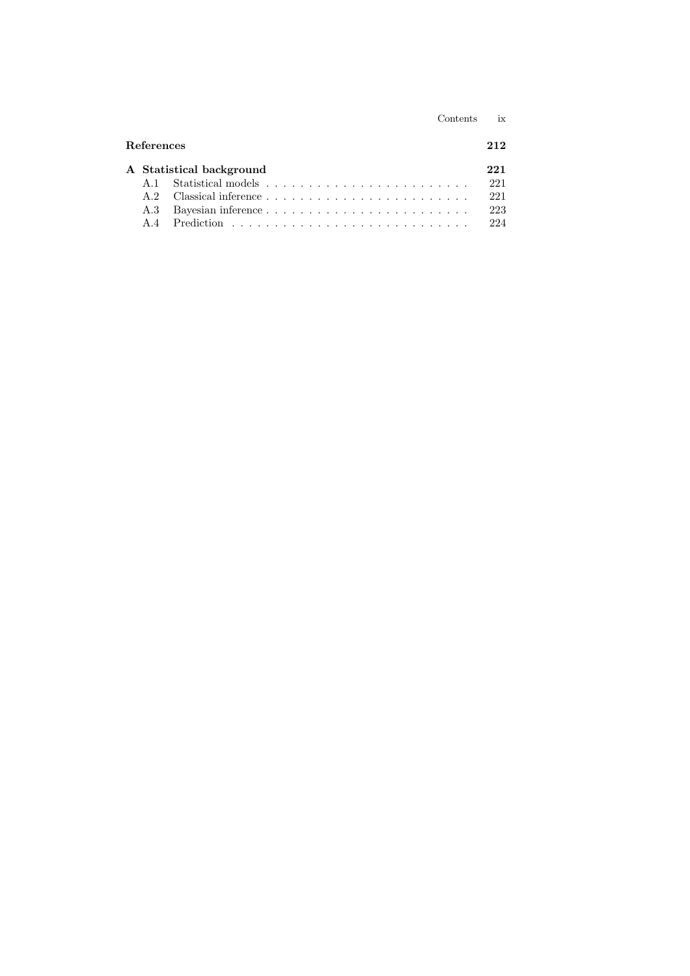|                          |                    | Contents | ix  |  |
|--------------------------|--------------------|----------|-----|--|
| <b>References</b>        |                    |          |     |  |
| A Statistical background |                    |          |     |  |
| A 1                      |                    |          | 221 |  |
| A 2                      |                    |          | 221 |  |
| A.3                      | Bayesian inference |          | 223 |  |
| A 4                      |                    |          | 224 |  |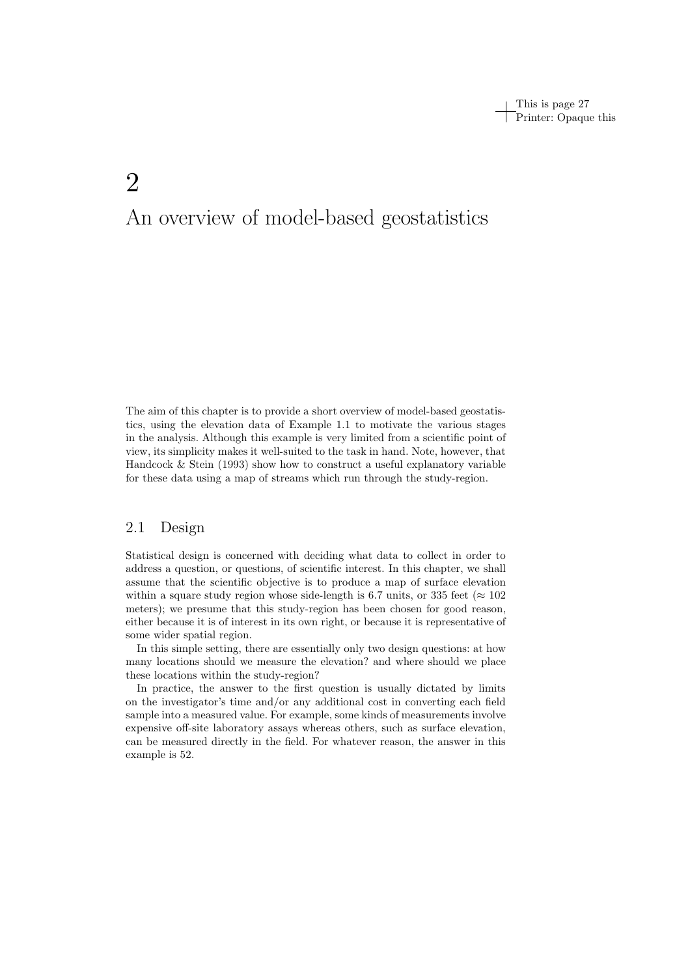This is page 27 Printer: Opaque this

# 2 An overview of model-based geostatistics

The aim of this chapter is to provide a short overview of model-based geostatistics, using the elevation data of Example 1.1 to motivate the various stages in the analysis. Although this example is very limited from a scientific point of view, its simplicity makes it well-suited to the task in hand. Note, however, that Handcock  $\&$  Stein (1993) show how to construct a useful explanatory variable for these data using a map of streams which run through the study-region.

# 2.1 Design

Statistical design is concerned with deciding what data to collect in order to address a question, or questions, of scientific interest. In this chapter, we shall assume that the scientific objective is to produce a map of surface elevation within a square study region whose side-length is 6.7 units, or 335 feet ( $\approx 102$ ) meters); we presume that this study-region has been chosen for good reason, either because it is of interest in its own right, or because it is representative of some wider spatial region.

In this simple setting, there are essentially only two design questions: at how many locations should we measure the elevation? and where should we place these locations within the study-region?

In practice, the answer to the first question is usually dictated by limits on the investigator's time and/or any additional cost in converting each field sample into a measured value. For example, some kinds of measurements involve expensive off-site laboratory assays whereas others, such as surface elevation, can be measured directly in the field. For whatever reason, the answer in this example is 52.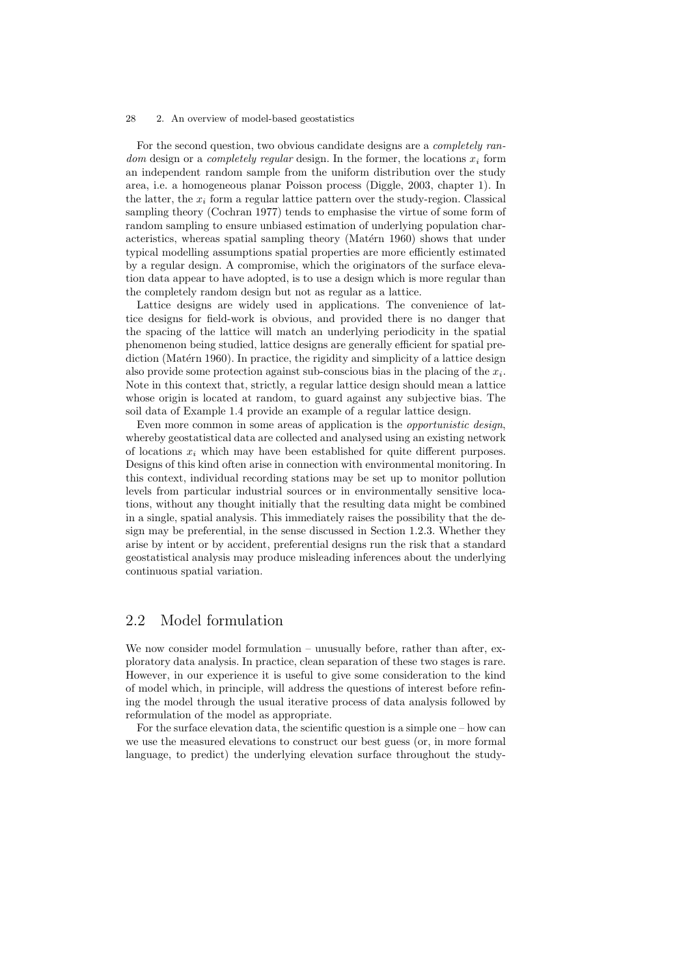For the second question, two obvious candidate designs are a completely random design or a completely regular design. In the former, the locations  $x_i$  form an independent random sample from the uniform distribution over the study area, i.e. a homogeneous planar Poisson process (Diggle, 2003, chapter 1). In the latter, the  $x_i$  form a regular lattice pattern over the study-region. Classical sampling theory (Cochran 1977) tends to emphasise the virtue of some form of random sampling to ensure unbiased estimation of underlying population characteristics, whereas spatial sampling theory (Matérn 1960) shows that under typical modelling assumptions spatial properties are more efficiently estimated by a regular design. A compromise, which the originators of the surface elevation data appear to have adopted, is to use a design which is more regular than the completely random design but not as regular as a lattice.

Lattice designs are widely used in applications. The convenience of lattice designs for field-work is obvious, and provided there is no danger that the spacing of the lattice will match an underlying periodicity in the spatial phenomenon being studied, lattice designs are generally efficient for spatial prediction (Matérn 1960). In practice, the rigidity and simplicity of a lattice design also provide some protection against sub-conscious bias in the placing of the  $x_i$ . Note in this context that, strictly, a regular lattice design should mean a lattice whose origin is located at random, to guard against any subjective bias. The soil data of Example 1.4 provide an example of a regular lattice design.

Even more common in some areas of application is the opportunistic design, whereby geostatistical data are collected and analysed using an existing network of locations  $x_i$  which may have been established for quite different purposes. Designs of this kind often arise in connection with environmental monitoring. In this context, individual recording stations may be set up to monitor pollution levels from particular industrial sources or in environmentally sensitive locations, without any thought initially that the resulting data might be combined in a single, spatial analysis. This immediately raises the possibility that the design may be preferential, in the sense discussed in Section 1.2.3. Whether they arise by intent or by accident, preferential designs run the risk that a standard geostatistical analysis may produce misleading inferences about the underlying continuous spatial variation.

# 2.2 Model formulation

We now consider model formulation – unusually before, rather than after, exploratory data analysis. In practice, clean separation of these two stages is rare. However, in our experience it is useful to give some consideration to the kind of model which, in principle, will address the questions of interest before refining the model through the usual iterative process of data analysis followed by reformulation of the model as appropriate.

For the surface elevation data, the scientific question is a simple one – how can we use the measured elevations to construct our best guess (or, in more formal language, to predict) the underlying elevation surface throughout the study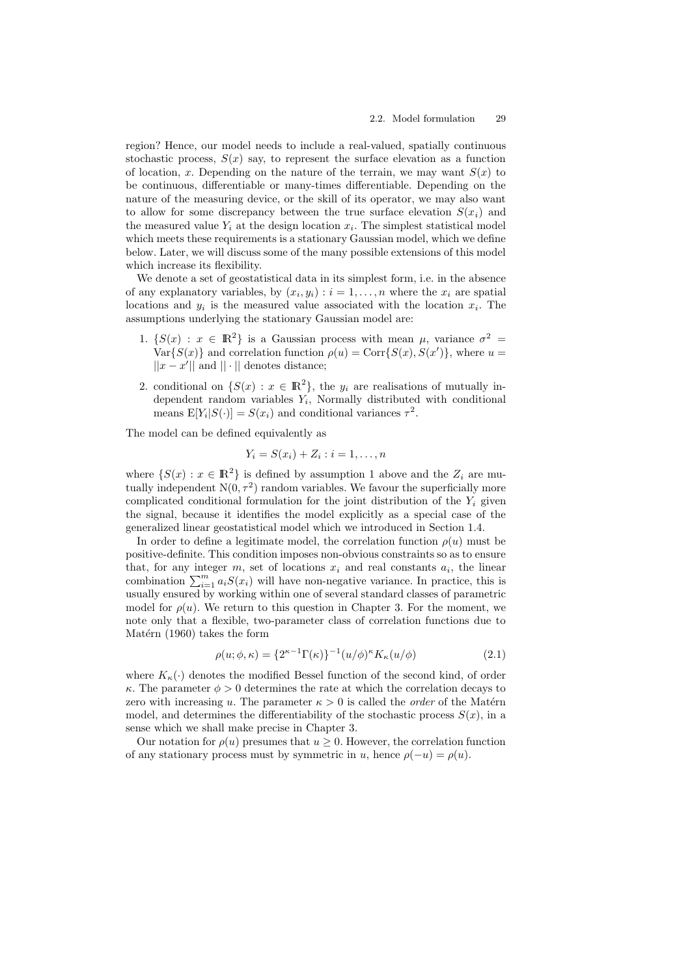region? Hence, our model needs to include a real-valued, spatially continuous stochastic process,  $S(x)$  say, to represent the surface elevation as a function of location, x. Depending on the nature of the terrain, we may want  $S(x)$  to be continuous, differentiable or many-times differentiable. Depending on the nature of the measuring device, or the skill of its operator, we may also want to allow for some discrepancy between the true surface elevation  $S(x_i)$  and the measured value  $Y_i$  at the design location  $x_i$ . The simplest statistical model which meets these requirements is a stationary Gaussian model, which we define below. Later, we will discuss some of the many possible extensions of this model which increase its flexibility.

We denote a set of geostatistical data in its simplest form, i.e. in the absence of any explanatory variables, by  $(x_i, y_i) : i = 1, \ldots, n$  where the  $x_i$  are spatial locations and  $y_i$  is the measured value associated with the location  $x_i$ . The assumptions underlying the stationary Gaussian model are:

- 1.  $\{S(x) : x \in \mathbb{R}^2\}$  is a Gaussian process with mean  $\mu$ , variance  $\sigma^2 =$  $Var{S(x)}$  and correlation function  $\rho(u) = Corr{S(x), S(x')}$ , where  $u =$  $||x - x'||$  and  $|| \cdot ||$  denotes distance;
- 2. conditional on  $\{S(x) : x \in \mathbb{R}^2\}$ , the  $y_i$  are realisations of mutually independent random variables  $Y_i$ , Normally distributed with conditional means  $E[Y_i|S(\cdot)] = S(x_i)$  and conditional variances  $\tau^2$ .

The model can be defined equivalently as

$$
Y_i = S(x_i) + Z_i : i = 1, \dots, n
$$

where  $\{S(x) : x \in \mathbb{R}^2\}$  is defined by assumption 1 above and the  $Z_i$  are mutually independent  $N(0, \tau^2)$  random variables. We favour the superficially more complicated conditional formulation for the joint distribution of the  $Y_i$  given the signal, because it identifies the model explicitly as a special case of the generalized linear geostatistical model which we introduced in Section 1.4.

In order to define a legitimate model, the correlation function  $\rho(u)$  must be positive-definite. This condition imposes non-obvious constraints so as to ensure that, for any integer  $m$ , set of locations  $x_i$  and real constants  $a_i$ , the linear combination  $\sum_{i=1}^{m} a_i S(x_i)$  will have non-negative variance. In practice, this is usually ensured by working within one of several standard classes of parametric model for  $\rho(u)$ . We return to this question in Chapter 3. For the moment, we note only that a flexible, two-parameter class of correlation functions due to Matérn  $(1960)$  takes the form

$$
\rho(u; \phi, \kappa) = \{2^{\kappa - 1}\Gamma(\kappa)\}^{-1} (u/\phi)^{\kappa} K_{\kappa}(u/\phi)
$$
\n(2.1)

where  $K_{\kappa}(\cdot)$  denotes the modified Bessel function of the second kind, of order  $\kappa$ . The parameter  $\phi > 0$  determines the rate at which the correlation decays to zero with increasing u. The parameter  $\kappa > 0$  is called the *order* of the Matérn model, and determines the differentiability of the stochastic process  $S(x)$ , in a sense which we shall make precise in Chapter 3.

Our notation for  $\rho(u)$  presumes that  $u \geq 0$ . However, the correlation function of any stationary process must by symmetric in u, hence  $\rho(-u) = \rho(u)$ .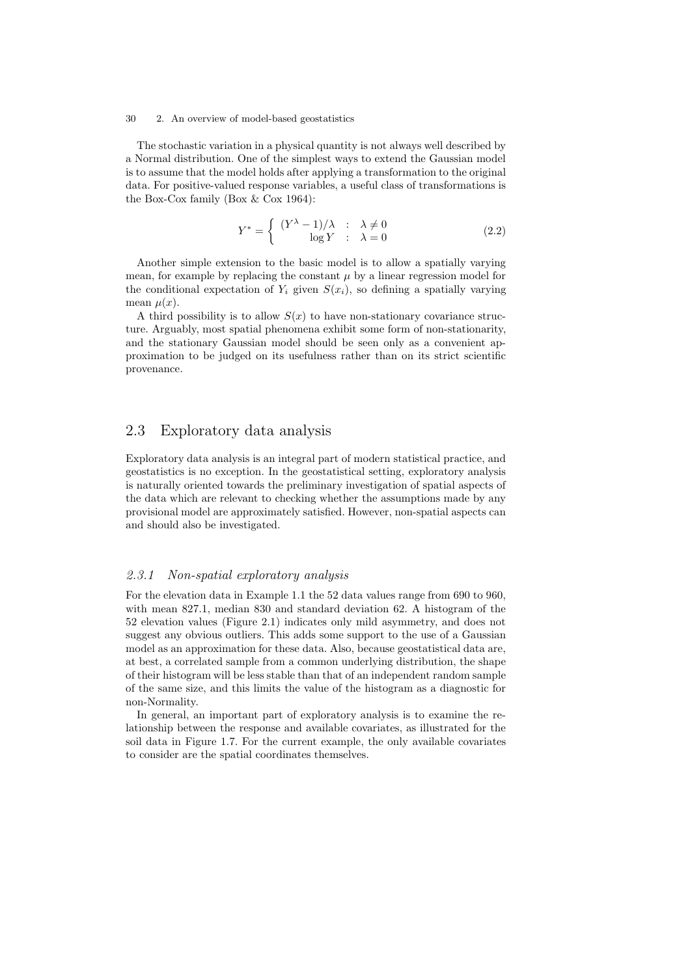The stochastic variation in a physical quantity is not always well described by a Normal distribution. One of the simplest ways to extend the Gaussian model is to assume that the model holds after applying a transformation to the original data. For positive-valued response variables, a useful class of transformations is the Box-Cox family (Box & Cox 1964):

$$
Y^* = \begin{cases} (Y^{\lambda} - 1)/\lambda & \text{: } \lambda \neq 0 \\ \log Y & \text{: } \lambda = 0 \end{cases}
$$
 (2.2)

Another simple extension to the basic model is to allow a spatially varying mean, for example by replacing the constant  $\mu$  by a linear regression model for the conditional expectation of  $Y_i$  given  $S(x_i)$ , so defining a spatially varying mean  $\mu(x)$ .

A third possibility is to allow  $S(x)$  to have non-stationary covariance structure. Arguably, most spatial phenomena exhibit some form of non-stationarity, and the stationary Gaussian model should be seen only as a convenient approximation to be judged on its usefulness rather than on its strict scientific provenance.

# 2.3 Exploratory data analysis

Exploratory data analysis is an integral part of modern statistical practice, and geostatistics is no exception. In the geostatistical setting, exploratory analysis is naturally oriented towards the preliminary investigation of spatial aspects of the data which are relevant to checking whether the assumptions made by any provisional model are approximately satisfied. However, non-spatial aspects can and should also be investigated.

#### 2.3.1 Non-spatial exploratory analysis

For the elevation data in Example 1.1 the 52 data values range from 690 to 960, with mean 827.1, median 830 and standard deviation 62. A histogram of the 52 elevation values (Figure 2.1) indicates only mild asymmetry, and does not suggest any obvious outliers. This adds some support to the use of a Gaussian model as an approximation for these data. Also, because geostatistical data are, at best, a correlated sample from a common underlying distribution, the shape of their histogram will be less stable than that of an independent random sample of the same size, and this limits the value of the histogram as a diagnostic for non-Normality.

In general, an important part of exploratory analysis is to examine the relationship between the response and available covariates, as illustrated for the soil data in Figure 1.7. For the current example, the only available covariates to consider are the spatial coordinates themselves.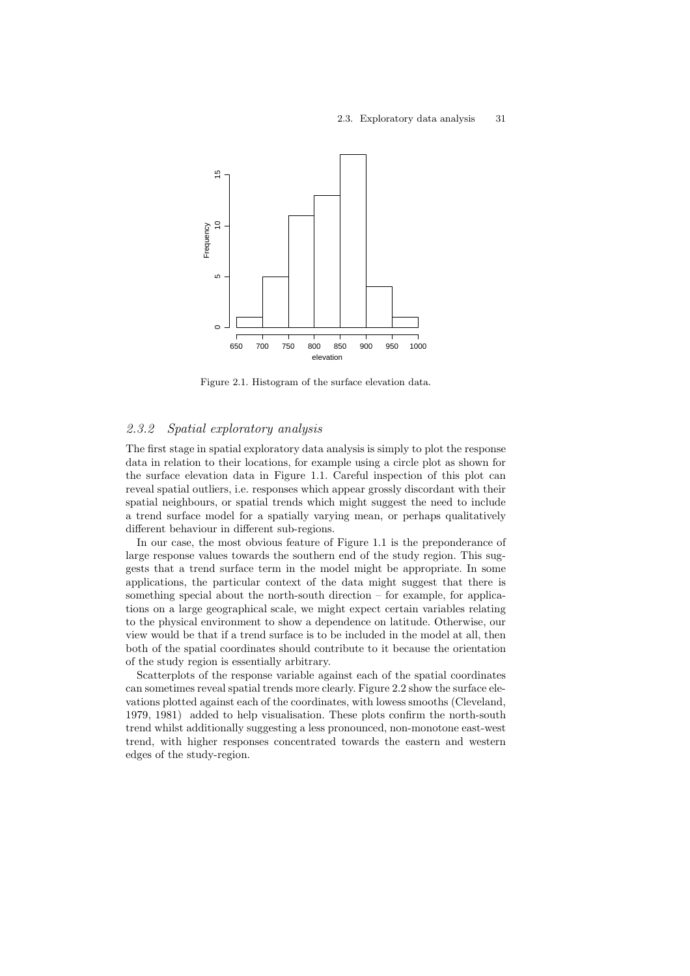

Figure 2.1. Histogram of the surface elevation data.

## 2.3.2 Spatial exploratory analysis

The first stage in spatial exploratory data analysis is simply to plot the response data in relation to their locations, for example using a circle plot as shown for the surface elevation data in Figure 1.1. Careful inspection of this plot can reveal spatial outliers, i.e. responses which appear grossly discordant with their spatial neighbours, or spatial trends which might suggest the need to include a trend surface model for a spatially varying mean, or perhaps qualitatively different behaviour in different sub-regions.

In our case, the most obvious feature of Figure 1.1 is the preponderance of large response values towards the southern end of the study region. This suggests that a trend surface term in the model might be appropriate. In some applications, the particular context of the data might suggest that there is something special about the north-south direction  $-$  for example, for applications on a large geographical scale, we might expect certain variables relating to the physical environment to show a dependence on latitude. Otherwise, our view would be that if a trend surface is to be included in the model at all, then both of the spatial coordinates should contribute to it because the orientation of the study region is essentially arbitrary.

Scatterplots of the response variable against each of the spatial coordinates can sometimes reveal spatial trends more clearly. Figure 2.2 show the surface elevations plotted against each of the coordinates, with lowess smooths (Cleveland, 1979, 1981) added to help visualisation. These plots confirm the north-south trend whilst additionally suggesting a less pronounced, non-monotone east-west trend, with higher responses concentrated towards the eastern and western edges of the study-region.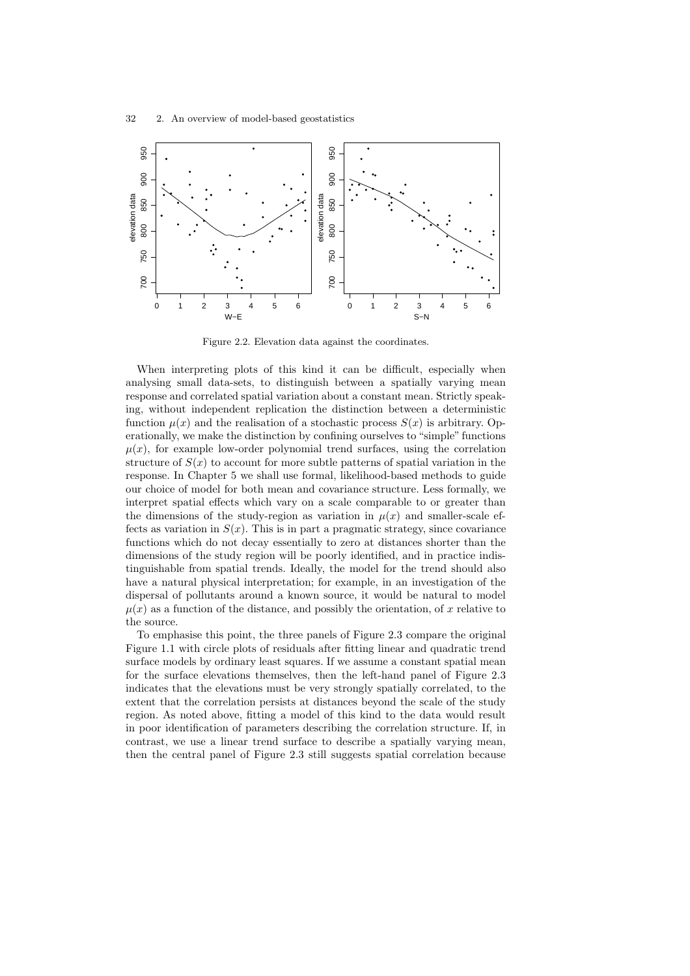

Figure 2.2. Elevation data against the coordinates.

When interpreting plots of this kind it can be difficult, especially when analysing small data-sets, to distinguish between a spatially varying mean response and correlated spatial variation about a constant mean. Strictly speaking, without independent replication the distinction between a deterministic function  $\mu(x)$  and the realisation of a stochastic process  $S(x)$  is arbitrary. Operationally, we make the distinction by confining ourselves to "simple" functions  $\mu(x)$ , for example low-order polynomial trend surfaces, using the correlation structure of  $S(x)$  to account for more subtle patterns of spatial variation in the response. In Chapter 5 we shall use formal, likelihood-based methods to guide our choice of model for both mean and covariance structure. Less formally, we interpret spatial effects which vary on a scale comparable to or greater than the dimensions of the study-region as variation in  $\mu(x)$  and smaller-scale effects as variation in  $S(x)$ . This is in part a pragmatic strategy, since covariance functions which do not decay essentially to zero at distances shorter than the dimensions of the study region will be poorly identified, and in practice indistinguishable from spatial trends. Ideally, the model for the trend should also have a natural physical interpretation; for example, in an investigation of the dispersal of pollutants around a known source, it would be natural to model  $\mu(x)$  as a function of the distance, and possibly the orientation, of x relative to the source.

To emphasise this point, the three panels of Figure 2.3 compare the original Figure 1.1 with circle plots of residuals after fitting linear and quadratic trend surface models by ordinary least squares. If we assume a constant spatial mean for the surface elevations themselves, then the left-hand panel of Figure 2.3 indicates that the elevations must be very strongly spatially correlated, to the extent that the correlation persists at distances beyond the scale of the study region. As noted above, fitting a model of this kind to the data would result in poor identification of parameters describing the correlation structure. If, in contrast, we use a linear trend surface to describe a spatially varying mean, then the central panel of Figure 2.3 still suggests spatial correlation because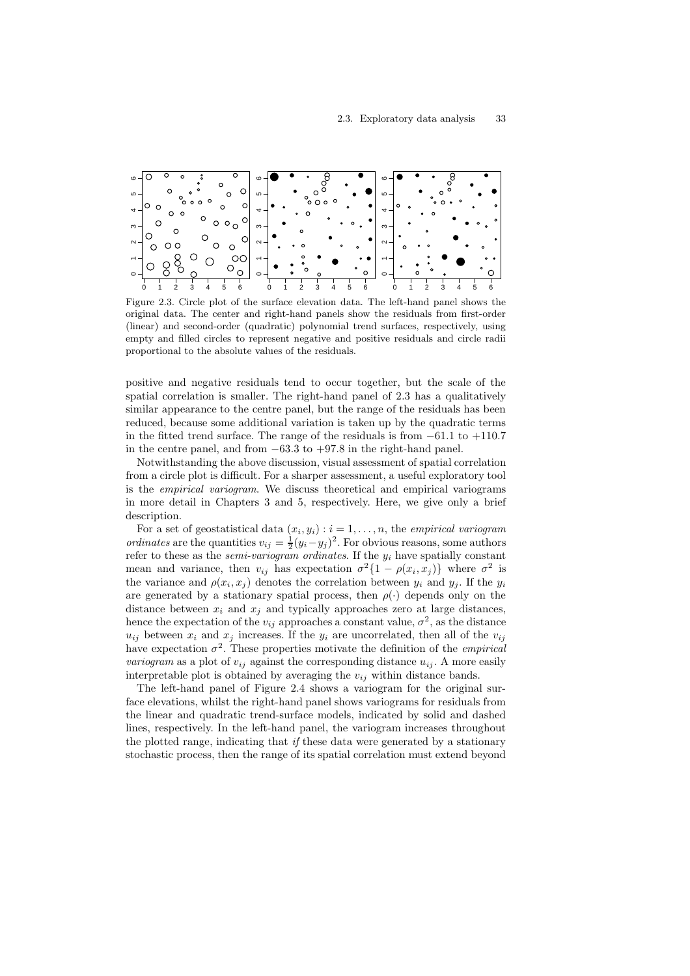

Figure 2.3. Circle plot of the surface elevation data. The left-hand panel shows the original data. The center and right-hand panels show the residuals from first-order (linear) and second-order (quadratic) polynomial trend surfaces, respectively, using empty and filled circles to represent negative and positive residuals and circle radii proportional to the absolute values of the residuals.

positive and negative residuals tend to occur together, but the scale of the spatial correlation is smaller. The right-hand panel of 2.3 has a qualitatively similar appearance to the centre panel, but the range of the residuals has been reduced, because some additional variation is taken up by the quadratic terms in the fitted trend surface. The range of the residuals is from  $-61.1$  to  $+110.7$ in the centre panel, and from −63.3 to +97.8 in the right-hand panel.

Notwithstanding the above discussion, visual assessment of spatial correlation from a circle plot is difficult. For a sharper assessment, a useful exploratory tool is the empirical variogram. We discuss theoretical and empirical variograms in more detail in Chapters 3 and 5, respectively. Here, we give only a brief description.

For a set of geostatistical data  $(x_i, y_i) : i = 1, \ldots, n$ , the empirical variogram *ordinates* are the quantities  $v_{ij} = \frac{1}{2}(y_i - y_j)^2$ . For obvious reasons, some authors refer to these as the *semi-variogram ordinates*. If the  $y_i$  have spatially constant mean and variance, then  $v_{ij}$  has expectation  $\sigma^2\{1-\rho(x_i,x_j)\}\,$  where  $\sigma^2$  is the variance and  $\rho(x_i, x_j)$  denotes the correlation between  $y_i$  and  $y_j$ . If the  $y_i$ are generated by a stationary spatial process, then  $\rho(\cdot)$  depends only on the distance between  $x_i$  and  $x_j$  and typically approaches zero at large distances, hence the expectation of the  $v_{ij}$  approaches a constant value,  $\sigma^2$ , as the distance  $u_{ij}$  between  $x_i$  and  $x_j$  increases. If the  $y_i$  are uncorrelated, then all of the  $v_{ij}$ have expectation  $\sigma^2$ . These properties motivate the definition of the *empirical variogram* as a plot of  $v_{ij}$  against the corresponding distance  $u_{ij}$ . A more easily interpretable plot is obtained by averaging the  $v_{ij}$  within distance bands.

The left-hand panel of Figure 2.4 shows a variogram for the original surface elevations, whilst the right-hand panel shows variograms for residuals from the linear and quadratic trend-surface models, indicated by solid and dashed lines, respectively. In the left-hand panel, the variogram increases throughout the plotted range, indicating that if these data were generated by a stationary stochastic process, then the range of its spatial correlation must extend beyond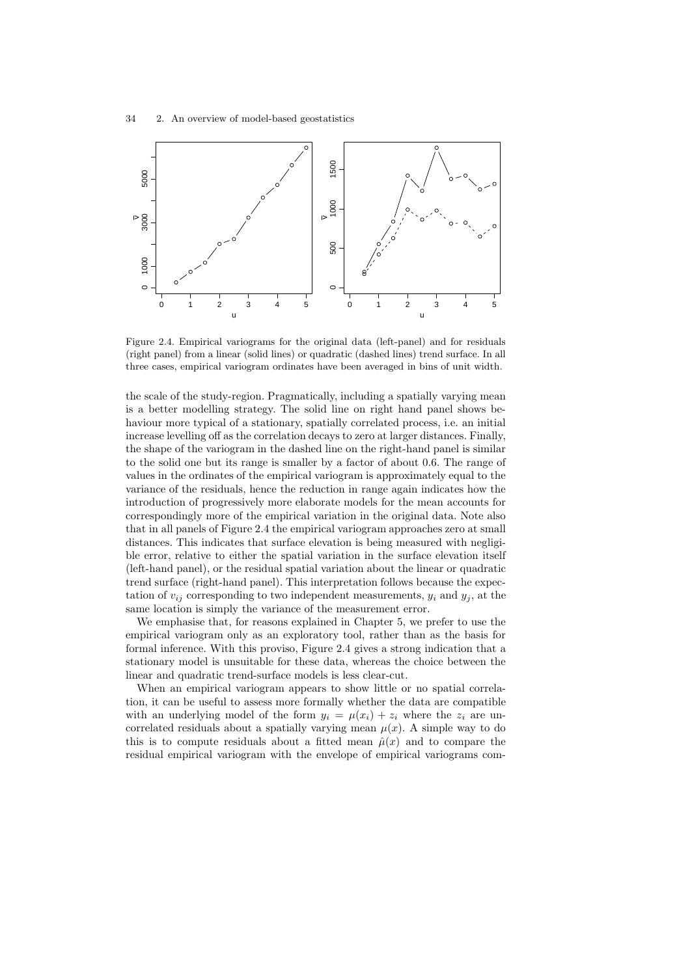

Figure 2.4. Empirical variograms for the original data (left-panel) and for residuals (right panel) from a linear (solid lines) or quadratic (dashed lines) trend surface. In all three cases, empirical variogram ordinates have been averaged in bins of unit width.

the scale of the study-region. Pragmatically, including a spatially varying mean is a better modelling strategy. The solid line on right hand panel shows behaviour more typical of a stationary, spatially correlated process, i.e. an initial increase levelling off as the correlation decays to zero at larger distances. Finally, the shape of the variogram in the dashed line on the right-hand panel is similar to the solid one but its range is smaller by a factor of about 0.6. The range of values in the ordinates of the empirical variogram is approximately equal to the variance of the residuals, hence the reduction in range again indicates how the introduction of progressively more elaborate models for the mean accounts for correspondingly more of the empirical variation in the original data. Note also that in all panels of Figure 2.4 the empirical variogram approaches zero at small distances. This indicates that surface elevation is being measured with negligible error, relative to either the spatial variation in the surface elevation itself (left-hand panel), or the residual spatial variation about the linear or quadratic trend surface (right-hand panel). This interpretation follows because the expectation of  $v_{ij}$  corresponding to two independent measurements,  $y_i$  and  $y_j$ , at the same location is simply the variance of the measurement error.

We emphasise that, for reasons explained in Chapter 5, we prefer to use the empirical variogram only as an exploratory tool, rather than as the basis for formal inference. With this proviso, Figure 2.4 gives a strong indication that a stationary model is unsuitable for these data, whereas the choice between the linear and quadratic trend-surface models is less clear-cut.

When an empirical variogram appears to show little or no spatial correlation, it can be useful to assess more formally whether the data are compatible with an underlying model of the form  $y_i = \mu(x_i) + z_i$  where the  $z_i$  are uncorrelated residuals about a spatially varying mean  $\mu(x)$ . A simple way to do this is to compute residuals about a fitted mean  $\hat{\mu}(x)$  and to compare the residual empirical variogram with the envelope of empirical variograms com-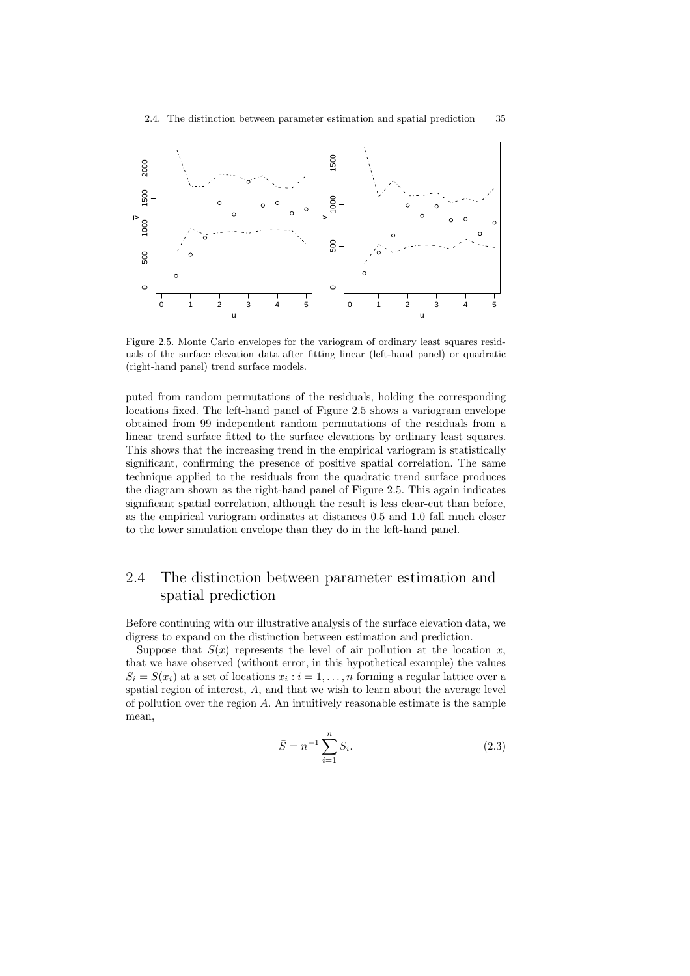

Figure 2.5. Monte Carlo envelopes for the variogram of ordinary least squares residuals of the surface elevation data after fitting linear (left-hand panel) or quadratic (right-hand panel) trend surface models.

puted from random permutations of the residuals, holding the corresponding locations fixed. The left-hand panel of Figure 2.5 shows a variogram envelope obtained from 99 independent random permutations of the residuals from a linear trend surface fitted to the surface elevations by ordinary least squares. This shows that the increasing trend in the empirical variogram is statistically significant, confirming the presence of positive spatial correlation. The same technique applied to the residuals from the quadratic trend surface produces the diagram shown as the right-hand panel of Figure 2.5. This again indicates significant spatial correlation, although the result is less clear-cut than before, as the empirical variogram ordinates at distances 0.5 and 1.0 fall much closer to the lower simulation envelope than they do in the left-hand panel.

# 2.4 The distinction between parameter estimation and spatial prediction

Before continuing with our illustrative analysis of the surface elevation data, we digress to expand on the distinction between estimation and prediction.

Suppose that  $S(x)$  represents the level of air pollution at the location x, that we have observed (without error, in this hypothetical example) the values  $S_i = S(x_i)$  at a set of locations  $x_i : i = 1, ..., n$  forming a regular lattice over a spatial region of interest, A, and that we wish to learn about the average level of pollution over the region A. An intuitively reasonable estimate is the sample mean,

$$
\bar{S} = n^{-1} \sum_{i=1}^{n} S_i.
$$
\n(2.3)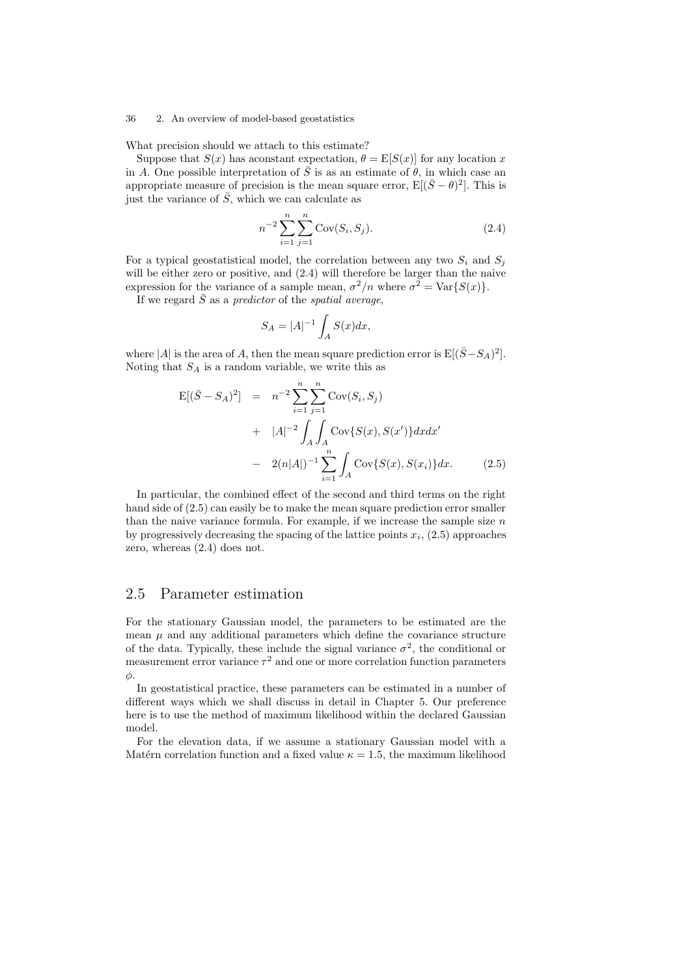What precision should we attach to this estimate?

Suppose that  $S(x)$  has aconstant expectation,  $\theta = \mathbb{E}[S(x)]$  for any location x in A. One possible interpretation of  $\overline{S}$  is as an estimate of  $\theta$ , in which case an appropriate measure of precision is the mean square error,  $E[(\bar{S} - \theta)^2]$ . This is just the variance of  $\bar{S}$ , which we can calculate as

$$
n^{-2} \sum_{i=1}^{n} \sum_{j=1}^{n} \text{Cov}(S_i, S_j).
$$
 (2.4)

For a typical geostatistical model, the correlation between any two  $S_i$  and  $S_j$ will be either zero or positive, and  $(2.4)$  will therefore be larger than the naive expression for the variance of a sample mean,  $\sigma^2/n$  where  $\sigma^2 = \text{Var}\{S(x)\}.$ 

If we regard  $\overline{S}$  as a predictor of the spatial average.

$$
S_A = |A|^{-1} \int_A S(x) dx,
$$

where |A| is the area of A, then the mean square prediction error is  $E[(\bar{S}-S_A)^2]$ . Noting that  $S_A$  is a random variable, we write this as

$$
E[(\bar{S} - S_A)^2] = n^{-2} \sum_{i=1}^n \sum_{j=1}^n \text{Cov}(S_i, S_j)
$$
  
+  $|A|^{-2} \int_A \int_A \text{Cov}\{S(x), S(x')\} dx dx'$   
-  $2(n|A|)^{-1} \sum_{i=1}^n \int_A \text{Cov}\{S(x), S(x_i)\} dx.$  (2.5)

In particular, the combined effect of the second and third terms on the right hand side of  $(2.5)$  can easily be to make the mean square prediction error smaller than the naive variance formula. For example, if we increase the sample size  $n$ by progressively decreasing the spacing of the lattice points  $x_i$ ,  $(2.5)$  approaches zero, whereas (2.4) does not.

## 2.5 Parameter estimation

For the stationary Gaussian model, the parameters to be estimated are the mean  $\mu$  and any additional parameters which define the covariance structure of the data. Typically, these include the signal variance  $\sigma^2$ , the conditional or measurement error variance  $\tau^2$  and one or more correlation function parameters  $\phi$ .

In geostatistical practice, these parameters can be estimated in a number of different ways which we shall discuss in detail in Chapter 5. Our preference here is to use the method of maximum likelihood within the declared Gaussian model.

For the elevation data, if we assume a stationary Gaussian model with a Matérn correlation function and a fixed value  $\kappa = 1.5$ , the maximum likelihood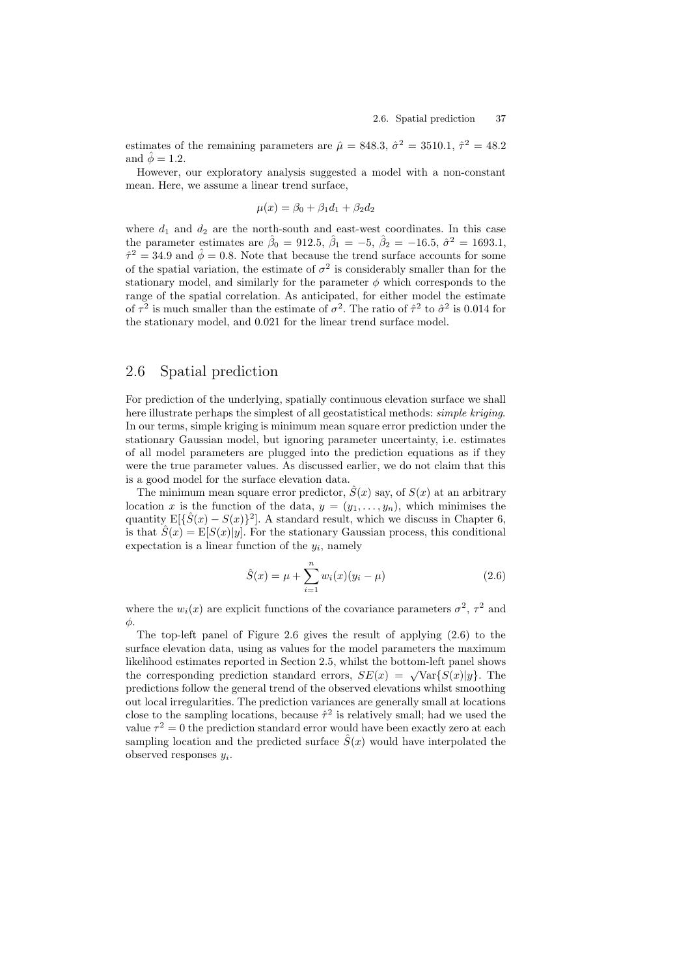estimates of the remaining parameters are  $\hat{\mu} = 848.3$ ,  $\hat{\sigma}^2 = 3510.1$ ,  $\hat{\tau}^2 = 48.2$ and  $\hat{\phi} = 1.2$ .

However, our exploratory analysis suggested a model with a non-constant mean. Here, we assume a linear trend surface,

$$
\mu(x) = \beta_0 + \beta_1 d_1 + \beta_2 d_2
$$

where  $d_1$  and  $d_2$  are the north-south and east-west coordinates. In this case the parameter estimates are  $\hat{\beta}_0 = 912.5$ ,  $\hat{\beta}_1 = -5$ ,  $\hat{\beta}_2 = -16.5$ ,  $\hat{\sigma}^2 = 1693.1$ ,  $\hat{\tau}^2 = 34.9$  and  $\hat{\phi} = 0.8$ . Note that because the trend surface accounts for some of the spatial variation, the estimate of  $\sigma^2$  is considerably smaller than for the stationary model, and similarly for the parameter  $\phi$  which corresponds to the range of the spatial correlation. As anticipated, for either model the estimate of  $\tau^2$  is much smaller than the estimate of  $\sigma^2$ . The ratio of  $\hat{\tau}^2$  to  $\hat{\sigma}^2$  is 0.014 for the stationary model, and 0.021 for the linear trend surface model.

## 2.6 Spatial prediction

For prediction of the underlying, spatially continuous elevation surface we shall here illustrate perhaps the simplest of all geostatistical methods: simple kriging. In our terms, simple kriging is minimum mean square error prediction under the stationary Gaussian model, but ignoring parameter uncertainty, i.e. estimates of all model parameters are plugged into the prediction equations as if they were the true parameter values. As discussed earlier, we do not claim that this is a good model for the surface elevation data.

The minimum mean square error predictor,  $\hat{S}(x)$  say, of  $S(x)$  at an arbitrary location x is the function of the data,  $y = (y_1, \ldots, y_n)$ , which minimises the quantity  $E[\{\hat{S}(x) - S(x)\}^2]$ . A standard result, which we discuss in Chapter 6, is that  $\hat{S}(x) = \mathbb{E}[S(x)|y]$ . For the stationary Gaussian process, this conditional expectation is a linear function of the  $y_i$ , namely

$$
\hat{S}(x) = \mu + \sum_{i=1}^{n} w_i(x)(y_i - \mu)
$$
\n(2.6)

where the  $w_i(x)$  are explicit functions of the covariance parameters  $\sigma^2$ ,  $\tau^2$  and  $φ$ .

The top-left panel of Figure 2.6 gives the result of applying (2.6) to the surface elevation data, using as values for the model parameters the maximum likelihood estimates reported in Section 2.5, whilst the bottom-left panel shows the corresponding prediction standard errors,  $SE(x) = \sqrt{\text{Var}\{S(x)|y\}}$ . The predictions follow the general trend of the observed elevations whilst smoothing out local irregularities. The prediction variances are generally small at locations close to the sampling locations, because  $\hat{\tau}^2$  is relatively small; had we used the value  $\tau^2 = 0$  the prediction standard error would have been exactly zero at each sampling location and the predicted surface  $\hat{S}(x)$  would have interpolated the observed responses  $y_i$ .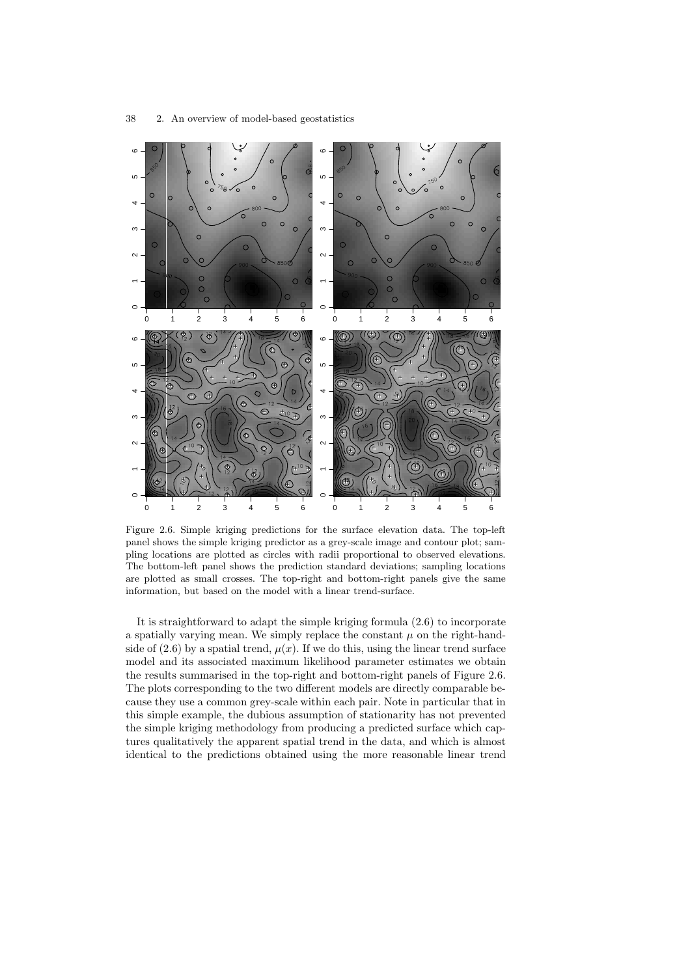

Figure 2.6. Simple kriging predictions for the surface elevation data. The top-left panel shows the simple kriging predictor as a grey-scale image and contour plot; sampling locations are plotted as circles with radii proportional to observed elevations. The bottom-left panel shows the prediction standard deviations; sampling locations are plotted as small crosses. The top-right and bottom-right panels give the same information, but based on the model with a linear trend-surface.

It is straightforward to adapt the simple kriging formula (2.6) to incorporate a spatially varying mean. We simply replace the constant  $\mu$  on the right-handside of  $(2.6)$  by a spatial trend,  $\mu(x)$ . If we do this, using the linear trend surface model and its associated maximum likelihood parameter estimates we obtain the results summarised in the top-right and bottom-right panels of Figure 2.6. The plots corresponding to the two different models are directly comparable because they use a common grey-scale within each pair. Note in particular that in this simple example, the dubious assumption of stationarity has not prevented the simple kriging methodology from producing a predicted surface which captures qualitatively the apparent spatial trend in the data, and which is almost identical to the predictions obtained using the more reasonable linear trend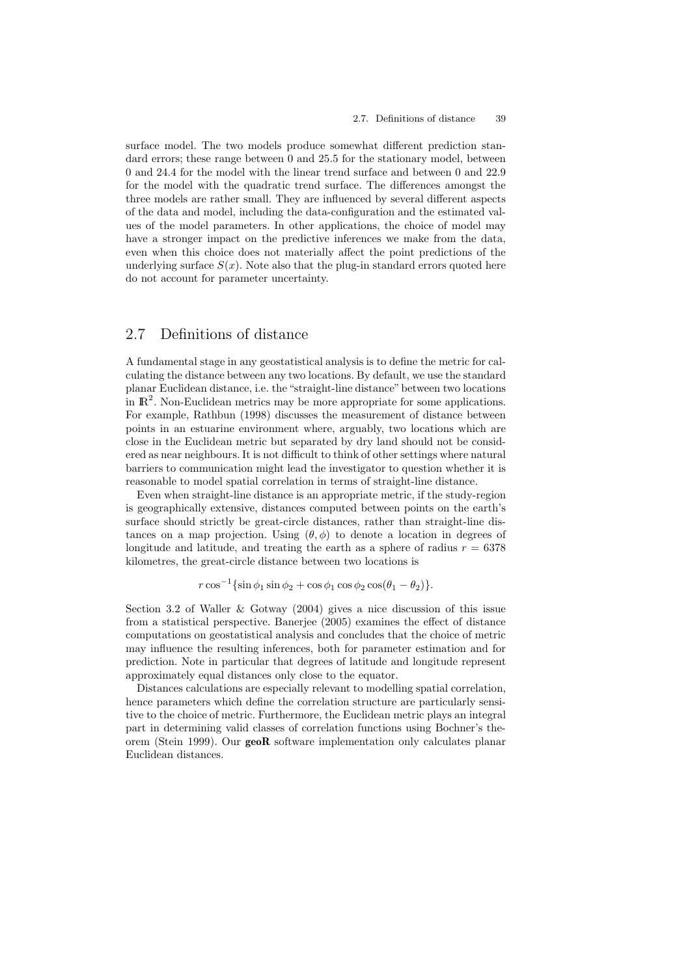surface model. The two models produce somewhat different prediction standard errors; these range between 0 and 25.5 for the stationary model, between 0 and 24.4 for the model with the linear trend surface and between 0 and 22.9 for the model with the quadratic trend surface. The differences amongst the three models are rather small. They are influenced by several different aspects of the data and model, including the data-configuration and the estimated values of the model parameters. In other applications, the choice of model may have a stronger impact on the predictive inferences we make from the data, even when this choice does not materially affect the point predictions of the underlying surface  $S(x)$ . Note also that the plug-in standard errors quoted here do not account for parameter uncertainty.

# 2.7 Definitions of distance

A fundamental stage in any geostatistical analysis is to define the metric for calculating the distance between any two locations. By default, we use the standard planar Euclidean distance, i.e. the "straight-line distance" between two locations in  $\mathbb{R}^2$ . Non-Euclidean metrics may be more appropriate for some applications. For example, Rathbun (1998) discusses the measurement of distance between points in an estuarine environment where, arguably, two locations which are close in the Euclidean metric but separated by dry land should not be considered as near neighbours. It is not difficult to think of other settings where natural barriers to communication might lead the investigator to question whether it is reasonable to model spatial correlation in terms of straight-line distance.

Even when straight-line distance is an appropriate metric, if the study-region is geographically extensive, distances computed between points on the earth's surface should strictly be great-circle distances, rather than straight-line distances on a map projection. Using  $(\theta, \phi)$  to denote a location in degrees of longitude and latitude, and treating the earth as a sphere of radius  $r = 6378$ kilometres, the great-circle distance between two locations is

 $r \cos^{-1} {\sin \phi_1 \sin \phi_2 + \cos \phi_1 \cos \phi_2 \cos(\theta_1 - \theta_2)}.$ 

Section 3.2 of Waller & Gotway (2004) gives a nice discussion of this issue from a statistical perspective. Banerjee (2005) examines the effect of distance computations on geostatistical analysis and concludes that the choice of metric may influence the resulting inferences, both for parameter estimation and for prediction. Note in particular that degrees of latitude and longitude represent approximately equal distances only close to the equator.

Distances calculations are especially relevant to modelling spatial correlation, hence parameters which define the correlation structure are particularly sensitive to the choice of metric. Furthermore, the Euclidean metric plays an integral part in determining valid classes of correlation functions using Bochner's theorem (Stein 1999). Our geoR software implementation only calculates planar Euclidean distances.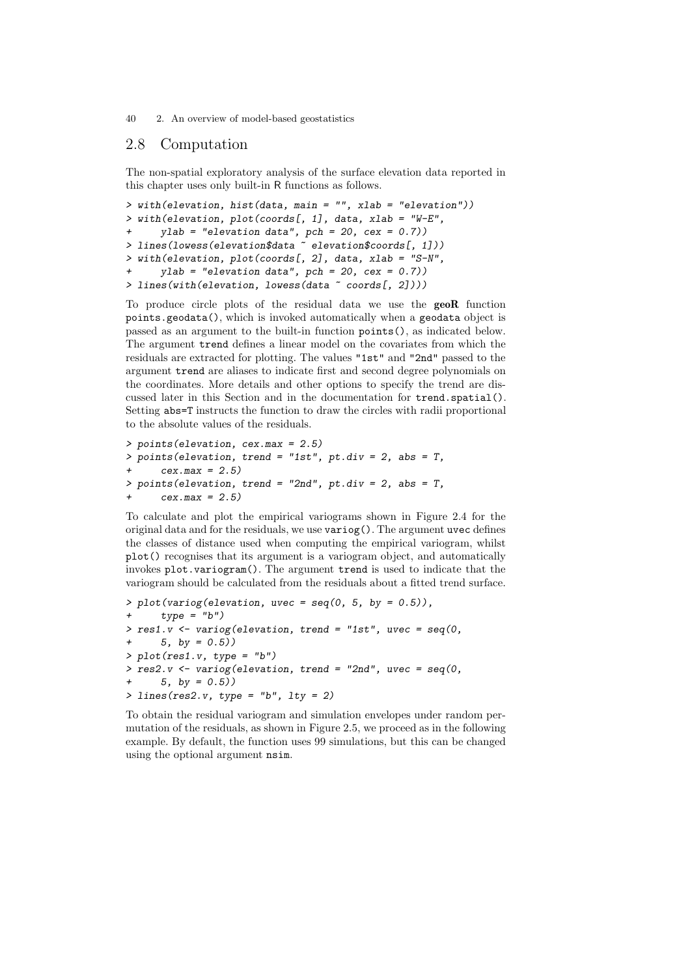# 2.8 Computation

The non-spatial exploratory analysis of the surface elevation data reported in this chapter uses only built-in R functions as follows.

```
> with(elevation, hist(data, main = "", xlab = "elevation"))
> with(elevation, plot(coords[, 1], data, xlab = "W-E",
      ylab = "elevation data", pch = 20, cex = 0.7))
> lines(lowess(elevation$data ~ elevation$coords[, 1]))
> with(elevation, plot(coords[, 2], data, xlab = "S-N",
      ylab = "elevation data", pch = 20, cex = 0.7))
> lines(with(elevation, lowess(data ~ coords[, 2])))
```
To produce circle plots of the residual data we use the geoR function points.geodata(), which is invoked automatically when a geodata object is passed as an argument to the built-in function points(), as indicated below. The argument trend defines a linear model on the covariates from which the residuals are extracted for plotting. The values "1st" and "2nd" passed to the argument trend are aliases to indicate first and second degree polynomials on the coordinates. More details and other options to specify the trend are discussed later in this Section and in the documentation for trend.spatial(). Setting abs=T instructs the function to draw the circles with radii proportional to the absolute values of the residuals.

```
> points(elevation, cex.max = 2.5)
> points(elevation, trend = "1st", pt.div = 2, abs = T,
+ cex.max = 2.5)
> points(elevation, trend = "2nd", pt.div = 2, abs = T,
      cex.max = 2.5)
```
To calculate and plot the empirical variograms shown in Figure 2.4 for the original data and for the residuals, we use  $\varphi$  (). The argument uvec defines the classes of distance used when computing the empirical variogram, whilst plot() recognises that its argument is a variogram object, and automatically invokes plot.variogram(). The argument trend is used to indicate that the variogram should be calculated from the residuals about a fitted trend surface.

```
> plot(variog(elevation, uvec = seq(0, 5, by = 0.5)),type = "b")> res1.v <- variog(elevation, trend = "1st", uvec = seq(0,
     5, by = 0.5))
> plot(res1.v, type = "b")
> res2.v <- variog(elevation, trend = "2nd", uvec = seq(0,5, by = 0.5))
> lines(res2.v, type = "b", lty = 2)
```
To obtain the residual variogram and simulation envelopes under random permutation of the residuals, as shown in Figure 2.5, we proceed as in the following example. By default, the function uses 99 simulations, but this can be changed using the optional argument nsim.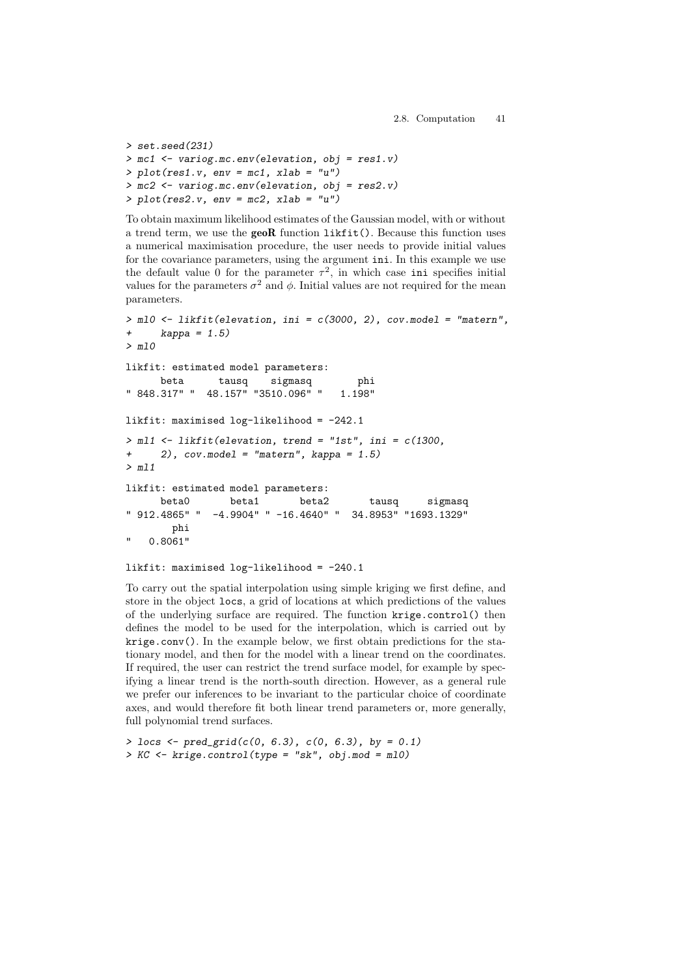```
> set.seed(231)
> mc1 <- variog.mc.env(elevation, obj = res1.v)
> plot(res1.v, env = mc1, xlab = "u")> mc2 <- variog.mc.env(elevation, obj = res2.v)
> plot(res2.v, env = mc2, xlab = "u")
```
To obtain maximum likelihood estimates of the Gaussian model, with or without a trend term, we use the geoR function likfit(). Because this function uses a numerical maximisation procedure, the user needs to provide initial values for the covariance parameters, using the argument ini. In this example we use the default value 0 for the parameter  $\tau^2$ , in which case ini specifies initial values for the parameters  $\sigma^2$  and  $\phi$ . Initial values are not required for the mean parameters.

```
> ml0 <- likfit(elevation, ini = c(3000, 2), cov.model = "matern",
+ kappa = 1.5)
> ml0
likfit: estimated model parameters:
     beta tausq sigmasq phi
" 848.317" " 48.157" "3510.096" " 1.198"
likfit: maximised log-likelihood = -242.1
> ml1 \le likfit(elevation, trend = "1st", ini = c(1300,+ 2), cov.model = "matern", kappa = 1.5)
> ml1
likfit: estimated model parameters:
     beta0 beta1 beta2 tausq sigmasq
" 912.4865" " -4.9904" " -16.4640" " 34.8953" "1693.1329"
       phi
   " 0.8061"
```

```
likfit: maximised log-likelihood = -240.1
```
To carry out the spatial interpolation using simple kriging we first define, and store in the object locs, a grid of locations at which predictions of the values of the underlying surface are required. The function krige.control() then defines the model to be used for the interpolation, which is carried out by krige.conv(). In the example below, we first obtain predictions for the stationary model, and then for the model with a linear trend on the coordinates. If required, the user can restrict the trend surface model, for example by specifying a linear trend is the north-south direction. However, as a general rule we prefer our inferences to be invariant to the particular choice of coordinate axes, and would therefore fit both linear trend parameters or, more generally, full polynomial trend surfaces.

```
> locs \le pred_grid(c(0, 6.3), c(0, 6.3), by = 0.1)
> KC < - krige.control(type = "sk", obj.mod = m10)
```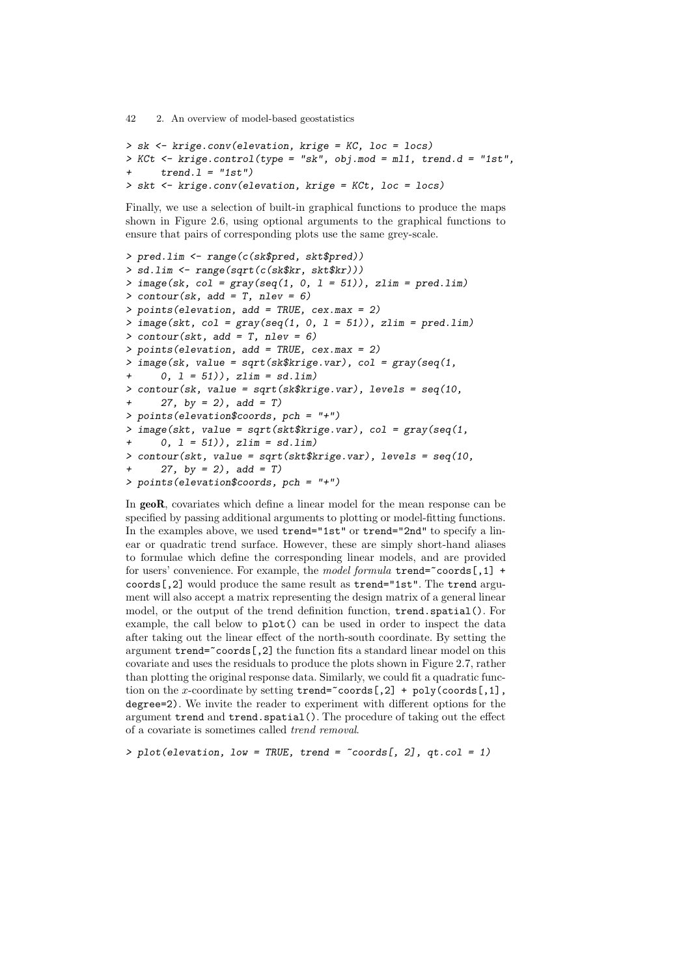```
> sk <- krige.conv(elevation, krige = KC, loc = locs)
> KCt \le krige.control(type = "sk", obj.mod = ml1, trend.d = "1st",
      trend.1 = "1st")> skt <- krige.conv(elevation, krige = KCt, loc = locs)
```
Finally, we use a selection of built-in graphical functions to produce the maps shown in Figure 2.6, using optional arguments to the graphical functions to ensure that pairs of corresponding plots use the same grey-scale.

```
> pred.lim <- range(c(sk$pred, skt$pred))
> sd.lim <- range(sqrt(c(sk$kr, skt$kr)))
> image(sk, col = gray(seq(1, 0, 1 = 51)), zlim = pred.lim)> contour(sk, add = T, nlev = 6)
> points(elevation, add = TRUE, cex.max = 2)
> image(skt, col = gray(seq(1, 0, 1 = 51)), zlim = pred.lim)
> contour(skt, add = T, nlev = 6)
> points(elevation, add = TRUE, cex.max = 2)
> image(sk, value = sqrt(sk$krige.var), col = gray(seq(1,
      0, 1 = 51)), zlim = sd.lim)
> contour(sk, value = sqrt(sk$krige.var), levels = seq(10,
      27, by = 2), add = T)
> points(elevation$coords, pch = "+")
> image(skt, value = sqrt(skt$krige.var), col = gray(seq(1,
      0, 1 = 51)), zlim = sd.lim)
> contour(skt, value = sqrt(skt$krige.var), levels = seq(10,
+ 27, by = 2), add = T> points(elevation$coords, pch = "+")
```
In geoR, covariates which define a linear model for the mean response can be specified by passing additional arguments to plotting or model-fitting functions. In the examples above, we used trend="1st" or trend="2nd" to specify a linear or quadratic trend surface. However, these are simply short-hand aliases to formulae which define the corresponding linear models, and are provided for users' convenience. For example, the model formula  $\text{trend} = \text{coordinates}[,1] + \text{time}$ coords[,2] would produce the same result as trend="1st". The trend argument will also accept a matrix representing the design matrix of a general linear model, or the output of the trend definition function, trend.spatial(). For example, the call below to plot() can be used in order to inspect the data after taking out the linear effect of the north-south coordinate. By setting the argument  $\text{trend} = \text{coords}$  [,2] the function fits a standard linear model on this covariate and uses the residuals to produce the plots shown in Figure 2.7, rather than plotting the original response data. Similarly, we could fit a quadratic function on the x-coordinate by setting  $trend="coords[, 2] + poly(coords[, 1],$ degree=2). We invite the reader to experiment with different options for the argument trend and trend.spatial(). The procedure of taking out the effect of a covariate is sometimes called trend removal.

 $> plot(elevation, low = TRUE, trend = "coordinates[, 2], qt,col = 1)$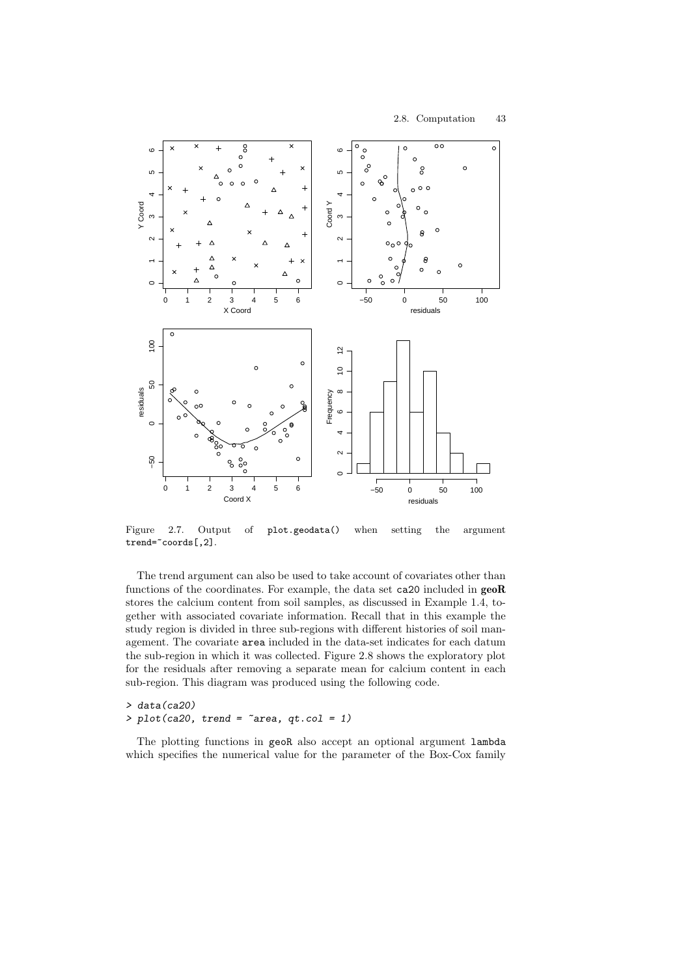

Figure 2.7. Output of plot.geodata() when setting the argument trend="coords[,2].

The trend argument can also be used to take account of covariates other than functions of the coordinates. For example, the data set ca20 included in geoR stores the calcium content from soil samples, as discussed in Example 1.4, together with associated covariate information. Recall that in this example the study region is divided in three sub-regions with different histories of soil management. The covariate area included in the data-set indicates for each datum the sub-region in which it was collected. Figure 2.8 shows the exploratory plot for the residuals after removing a separate mean for calcium content in each sub-region. This diagram was produced using the following code.

> data(ca20)  $> plot(ca20, trend = 'area, qt.col = 1)$ 

The plotting functions in geoR also accept an optional argument lambda which specifies the numerical value for the parameter of the Box-Cox family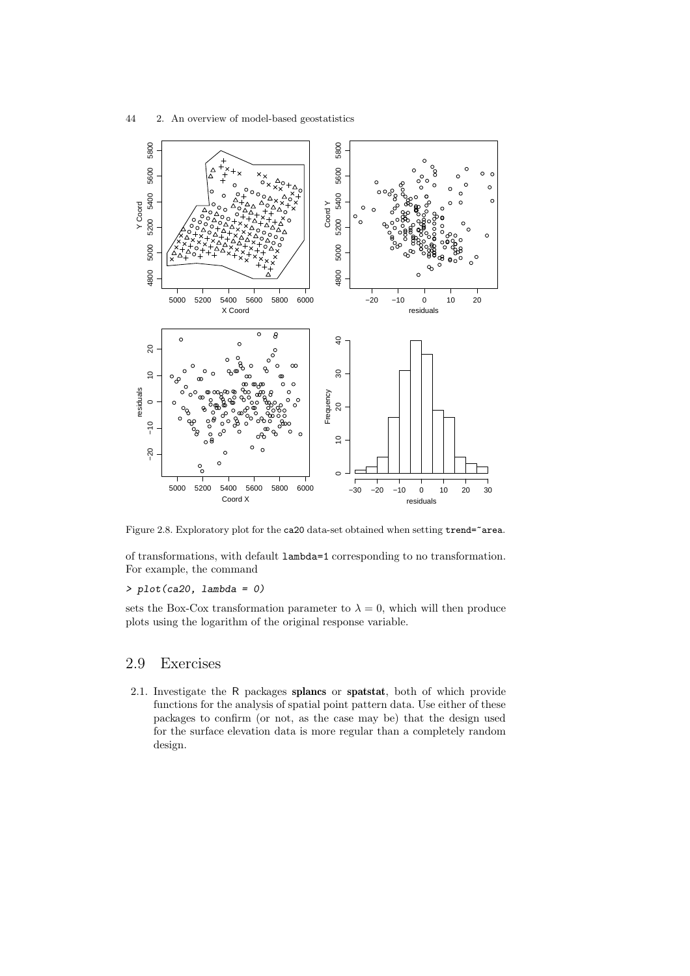



Figure 2.8. Exploratory plot for the ca20 data-set obtained when setting trend="area.

of transformations, with default lambda=1 corresponding to no transformation. For example, the command

#### $> plot(ca20, lambda = 0)$

sets the Box-Cox transformation parameter to  $\lambda = 0$ , which will then produce plots using the logarithm of the original response variable.

# 2.9 Exercises

2.1. Investigate the R packages splancs or spatstat, both of which provide functions for the analysis of spatial point pattern data. Use either of these packages to confirm (or not, as the case may be) that the design used for the surface elevation data is more regular than a completely random design.